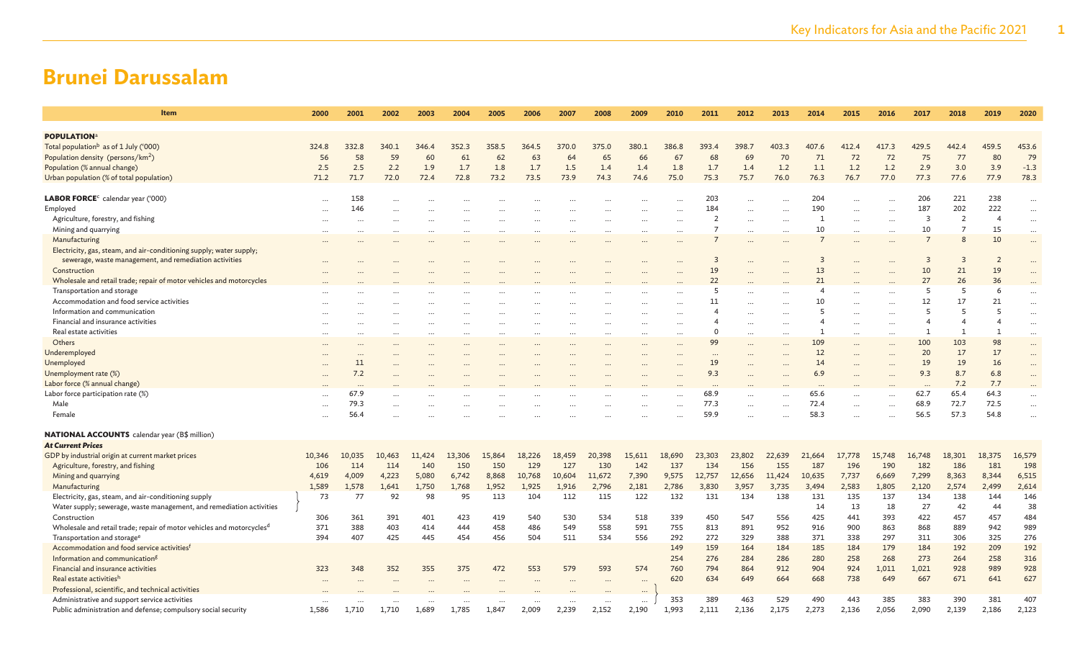| Item                                                                              | 2000      | 2001                     | 2002     | 2003     | 2004   | 2005     | 2006     | 2007   | 2008     | 2009      | 2010                 | 2011             | 2012                 | 2013                 | 2014                    | 2015      | 2016     | 2017                    | 2018           | 2019                     | 2020                 |
|-----------------------------------------------------------------------------------|-----------|--------------------------|----------|----------|--------|----------|----------|--------|----------|-----------|----------------------|------------------|----------------------|----------------------|-------------------------|-----------|----------|-------------------------|----------------|--------------------------|----------------------|
|                                                                                   |           |                          |          |          |        |          |          |        |          |           |                      |                  |                      |                      |                         |           |          |                         |                |                          |                      |
| <b>POPULATION</b> <sup>a</sup>                                                    |           |                          |          |          |        |          |          |        |          |           |                      |                  |                      |                      |                         |           |          |                         |                |                          |                      |
| Total population <sup>b</sup> as of 1 July ('000)                                 | 324.8     | 332.8                    | 340.1    | 346.4    | 352.3  | 358.5    | 364.5    | 370.0  | 375.0    | 380.1     | 386.8                | 393.4            | 398.7                | 403.3                | 407.6                   | 412.4     | 417.3    | 429.5                   | 442.4          | 459.5                    | 453.6                |
| Population density (persons/km <sup>2</sup> )                                     | 56        | 58                       | 59       | 60       | 61     | 62       | 63       | 64     | 65       | 66        | 67                   | 68               | 69                   | 70                   | 71                      | 72        | 72       | 75                      | 77             | 80                       | 79                   |
| Population (% annual change)                                                      | 2.5       | 2.5                      | 2.2      | 1.9      | 1.7    | 1.8      | 1.7      | 1.5    | 1.4      | 1.4       | 1.8                  | 1.7              | 1.4                  | 1.2                  | 1.1                     | 1.2       | 1.2      | 2.9                     | 3.0            | 3.9                      | $-1.3$               |
| Urban population (% of total population)                                          | 71.2      | 71.7                     | 72.0     | 72.4     | 72.8   | 73.2     | 73.5     | 73.9   | 74.3     | 74.6      | 75.0                 | 75.3             | 75.7                 | 76.0                 | 76.3                    | 76.7      | 77.0     | 77.3                    | 77.6           | 77.9                     | 78.3                 |
|                                                                                   |           |                          |          |          |        |          |          |        |          |           |                      |                  |                      |                      |                         |           |          |                         |                |                          |                      |
| LABOR FORCE <sup>c</sup> calendar year ('000)                                     |           | 158                      | $\cdots$ |          |        |          |          |        |          |           |                      | 203              | $\ddotsc$            | $\ddotsc$            | 204                     | $\ddotsc$ | $\cdots$ | 206                     | 221            | 238                      | $\ddotsc$            |
| Employed                                                                          | $\ddotsc$ | 146                      |          |          |        |          |          |        |          | $\cdots$  |                      | 184              | $\cdots$             | $\ddotsc$            | 190                     | $\cdots$  | $\cdots$ | 187                     | 202            | 222                      | $\ldots$             |
| Agriculture, forestry, and fishing                                                |           | $\overline{\phantom{a}}$ |          |          |        | $\cdots$ |          |        |          | $\cdots$  | $\ddots$             | $\overline{2}$   | $\cdots$             | $\ddotsc$            | -1                      | $\cdots$  | $\cdots$ | $\overline{\mathbf{3}}$ | $\overline{2}$ | $\overline{\mathcal{A}}$ | $\cdots$             |
| Mining and quarrying                                                              |           |                          |          | .        |        |          | .        |        |          |           | $\ddotsc$            | $\overline{7}$   | $\cdots$             | $\ddotsc$            | 10                      |           | $\ddots$ | 10                      | $\overline{7}$ | 15                       | $\cdots$             |
| Manufacturing                                                                     |           |                          |          |          |        | $\cdots$ |          |        |          |           |                      |                  |                      |                      |                         |           |          | $\overline{7}$          | 8              | 10                       | $\cdots$             |
| Electricity, gas, steam, and air-conditioning supply; water supply;               |           |                          |          |          |        |          |          |        |          |           |                      |                  |                      |                      |                         |           |          |                         |                |                          |                      |
| sewerage, waste management, and remediation activities                            |           |                          |          |          |        |          |          |        |          |           |                      | $\overline{3}$   |                      |                      | $\overline{\mathbf{3}}$ |           |          | $\overline{\mathbf{3}}$ | 3              | $\overline{2}$           |                      |
| Construction                                                                      |           |                          |          |          |        |          |          |        |          |           |                      | 19               |                      |                      | 13                      |           |          | 10                      | 21             | 19                       |                      |
| Wholesale and retail trade; repair of motor vehicles and motorcycles              |           |                          |          |          |        |          |          |        |          |           |                      | 22               |                      |                      | 21                      |           |          | 27                      | 26             | 36                       |                      |
| Transportation and storage                                                        |           |                          |          |          |        |          |          |        |          |           |                      | 5                | $\ddotsc$            | $\ddot{\phantom{a}}$ | $\overline{4}$          | $\ddotsc$ | $\cdots$ | -5                      | 5              | 6                        | $\cdots$             |
| Accommodation and food service activities                                         |           |                          |          |          |        | $\cdots$ |          |        |          | $\cdots$  |                      | 11               | $\ddotsc$            |                      | 10                      | $\ddotsc$ | $\cdots$ | 12                      | 17             | 21                       | $\cdots$             |
| Information and communication                                                     |           |                          |          |          |        |          |          |        |          |           |                      |                  | $\ddot{\phantom{a}}$ |                      | 5                       |           |          |                         | 5              | 5                        | $\cdots$             |
| Financial and insurance activities                                                |           |                          |          | $\cdots$ |        | $\cdots$ |          |        |          |           |                      |                  | $\cdots$             | $\ddotsc$            | 4                       |           | $\ddots$ |                         | $\overline{4}$ | $\boldsymbol{\varDelta}$ | $\cdots$             |
| Real estate activities                                                            |           |                          |          | $\cdots$ |        | $\cdots$ | $\cdots$ |        | $\cdots$ | $\ddotsc$ | $\ddot{\phantom{a}}$ | $\Omega$         | $\cdots$             | $\cdots$             | 1                       | $\cdots$  | $\cdots$ |                         | $\mathbf{1}$   | $\mathbf{1}$             | $\cdots$             |
| Others                                                                            |           |                          |          |          |        |          |          |        |          |           |                      | 99               |                      |                      | 109                     |           |          | 100                     | 103            | 98                       | $\cdots$             |
| Underemployed                                                                     |           |                          |          |          |        |          |          |        |          |           |                      |                  |                      |                      | 12                      |           |          | 20                      | 17             | 17                       |                      |
| Unemployed                                                                        |           | 11                       |          |          |        |          |          |        |          |           |                      | 19               |                      |                      | 14                      |           |          | 19                      | 19             | 16                       | $\ddots$             |
| Unemployment rate (%)                                                             |           | 7.2                      |          |          |        |          |          |        |          |           |                      | 9.3              |                      |                      | 6.9                     |           |          | 9.3                     | 8.7            | 6.8                      | $\ddots$             |
| Labor force (% annual change)                                                     |           |                          |          |          |        |          |          |        |          |           |                      |                  |                      |                      | $\cdots$                |           |          | $\cdots$                | 7.2            | 7.7                      |                      |
| Labor force participation rate (%)                                                |           | $\cdots$<br>67.9         |          |          |        |          |          |        |          |           |                      | $\cdots$<br>68.9 |                      |                      | 65.6                    |           |          | 62.7                    | 65.4           | 64.3                     |                      |
| Male                                                                              |           | 79.3                     |          |          |        |          |          |        |          |           |                      | 77.3             |                      |                      | 72.4                    |           |          | 68.9                    | 72.7           | 72.5                     | $\ddotsc$            |
| Female                                                                            |           | 56.4                     |          |          |        |          |          |        |          |           |                      | 59.9             |                      |                      | 58.3                    |           | $\cdots$ | 56.5                    | 57.3           | 54.8                     | $\ddot{\phantom{a}}$ |
|                                                                                   |           |                          |          |          |        |          |          |        |          |           |                      |                  |                      |                      |                         |           |          |                         |                |                          |                      |
| <b>NATIONAL ACCOUNTS</b> calendar year (B\$ million)                              |           |                          |          |          |        |          |          |        |          |           |                      |                  |                      |                      |                         |           |          |                         |                |                          |                      |
| <b>At Current Prices</b>                                                          |           |                          |          |          |        |          |          |        |          |           |                      |                  |                      |                      |                         |           |          |                         |                |                          |                      |
| GDP by industrial origin at current market prices                                 | 10,346    | 10,035                   | 10,463   | 11,424   | 13,306 | 15,864   | 18,226   | 18,459 | 20,398   | 15,611    | 18,690               | 23,303           | 23,802               | 22,639               | 21,664                  | 17,778    | 15,748   | 16,748                  | 18,301         | 18,375                   | 16,579               |
| Agriculture, forestry, and fishing                                                | 106       | 114                      | 114      | 140      | 150    | 150      | 129      | 127    | 130      | 142       | 137                  | 134              | 156                  | 155                  | 187                     | 196       | 190      | 182                     | 186            | 181                      | 198                  |
| Mining and quarrying                                                              | 4,619     | 4,009                    | 4,223    | 5,080    | 6,742  | 8,868    | 10,768   | 10,604 | 11,672   | 7,390     | 9,575                | 12,757           | 12,656               | 11,424               | 10,635                  | 7,737     | 6,669    | 7,299                   | 8,363          | 8,344                    | 6,515                |
| Manufacturing                                                                     | 1,589     | 1,578                    | 1,641    | 1,750    | 1,768  | 1,952    | 1,925    | 1,916  | 2,796    | 2,181     | 2,786                | 3,830            | 3,957                | 3,735                | 3,494                   | 2,583     | 1,805    | 2,120                   | 2,574          | 2,499                    | 2,614                |
| Electricity, gas, steam, and air-conditioning supply                              | 73        | 77                       | 92       | 98       | 95     | 113      | 104      | 112    | 115      | 122       | 132                  | 131              | 134                  | 138                  | 131                     | 135       | 137      | 134                     | 138            | 144                      | 146                  |
| Water supply; sewerage, waste management, and remediation activities              |           |                          |          |          |        |          |          |        |          |           |                      |                  |                      |                      | 14                      | 13        | 18       | 27                      | 42             | 44                       | 38                   |
| Construction                                                                      | 306       | 361                      | 391      | 401      | 423    | 419      | 540      | 530    | 534      | 518       | 339                  | 450              | 547                  | 556                  | 425                     | 441       | 393      | 422                     | 457            | 457                      | 484                  |
| Wholesale and retail trade; repair of motor vehicles and motorcycles <sup>d</sup> | 371       | 388                      | 403      | 414      | 444    | 458      | 486      | 549    | 558      | 591       | 755                  | 813              | 891                  | 952                  | 916                     | 900       | 863      | 868                     | 889            | 942                      | 989                  |
| Transportation and storage <sup>e</sup>                                           | 394       | 407                      | 425      | 445      | 454    | 456      | 504      | 511    | 534      | 556       | 292                  | 272              | 329                  | 388                  | 371                     | 338       | 297      | 311                     | 306            | 325                      | 276                  |
| Accommodation and food service activities <sup>t</sup>                            |           |                          |          |          |        |          |          |        |          |           | 149                  | 159              | 164                  | 184                  | 185                     | 184       | 179      | 184                     | 192            | 209                      | 192                  |
| Information and communication <sup>g</sup>                                        |           |                          |          |          |        |          |          |        |          |           | 254                  | 276              | 284                  | 286                  | 280                     | 258       | 268      | 273                     | 264            | 258                      | 316                  |
| Financial and insurance activities                                                | 323       | 348                      | 352      | 355      | 375    | 472      | 553      | 579    | 593      | 574       | 760                  | 794              | 864                  | 912                  | 904                     | 924       | 1,011    | 1,021                   | 928            | 989                      | 928                  |
|                                                                                   |           |                          |          |          |        |          |          |        |          |           |                      | 634              | 649                  |                      |                         | 738       | 649      |                         |                |                          | 627                  |
| Real estate activitiesh                                                           |           |                          |          |          |        |          |          |        |          |           | 620                  |                  |                      | 664                  | 668                     |           |          | 667                     | 671            | 641                      |                      |
| Professional, scientific, and technical activities                                |           |                          |          |          |        |          |          |        |          |           |                      |                  |                      |                      |                         |           |          |                         |                |                          |                      |
| Administrative and support service activities                                     |           |                          |          |          |        |          |          |        |          |           | 353                  | 389              | 463                  | 529                  | 490                     | 443       | 385      | 383                     | 390            | 381                      | 407                  |
| Public administration and defense; compulsory social security                     | 1,586     | 1,710                    | 1,710    | 1,689    | 1,785  | 1,847    | 2,009    | 2,239  | 2,152    | 2,190     | 1,993                | 2,111            | 2,136                | 2,175                | 2,273                   | 2,136     | 2,056    | 2,090                   | 2,139          | 2,186                    | 2,123                |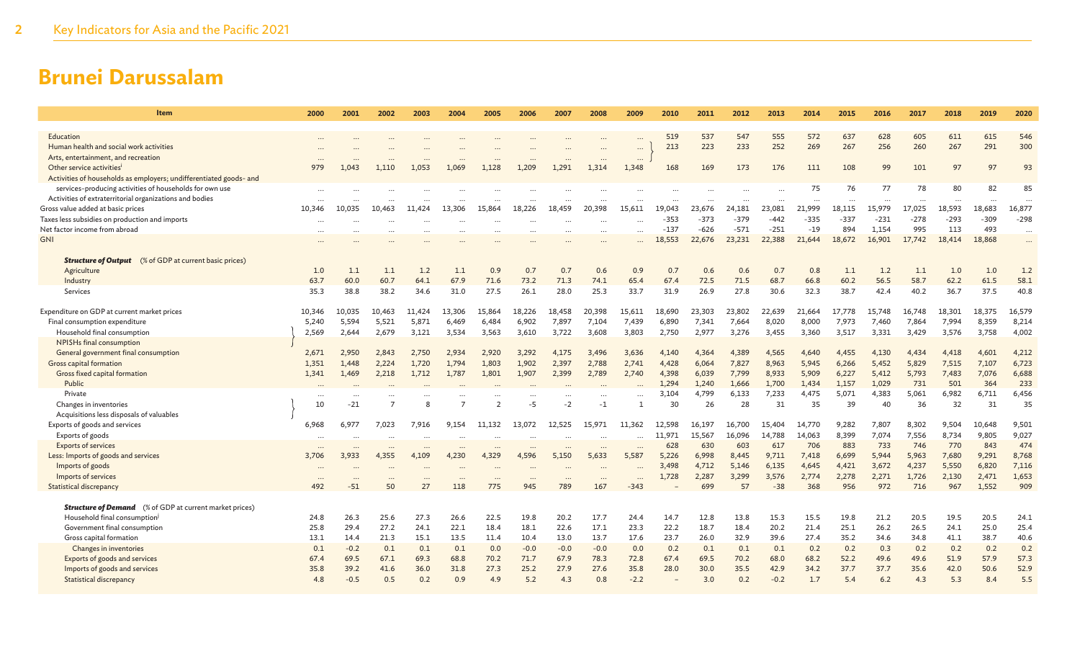| <b>Item</b>                                                        | 2000     | 2001     | 2002   | 2003         | 2004      | 2005           | 2006      | 2007      | 2008      | 2009      | 2010           | 2011           | 2012           | 2013           | 2014           | 2015           | 2016           | 2017         | 2018         | 2019         | 2020         |
|--------------------------------------------------------------------|----------|----------|--------|--------------|-----------|----------------|-----------|-----------|-----------|-----------|----------------|----------------|----------------|----------------|----------------|----------------|----------------|--------------|--------------|--------------|--------------|
| Education                                                          |          |          |        |              |           |                |           |           |           |           | 519            | 537            | 547            | 555            | 572            | 637            | 628            | 605          | 611          | 615          | 546          |
| Human health and social work activities                            |          |          |        |              |           |                |           |           |           | $\cdots$  | 213            | 223            | 233            | 252            | 269            | 267            | 256            | 260          | 267          | 291          | 300          |
| Arts, entertainment, and recreation                                |          |          |        | $\ddotsc$    | $\sim$    |                |           | $\ddotsc$ | $\cdots$  | $\cdots$  |                |                |                |                |                |                |                |              |              |              |              |
| Other service activities <sup>i</sup>                              | 979      | 1.043    | 1,110  | 1.053        | 1.069     | 1,128          | 1.209     | 1.291     | 1,314     | 1,348     | 168            | 169            | 173            | 176            | 111            | 108            | 99             | 101          | 97           | 97           | 93           |
| Activities of households as employers; undifferentiated goods- and |          |          |        |              |           |                |           |           |           |           |                |                |                |                |                |                |                |              |              |              |              |
| services-producing activities of households for own use            |          |          |        |              |           |                |           |           |           |           |                |                |                |                | 75             | 76             | 77             | 78           | 80           | 82           | 85           |
| Activities of extraterritorial organizations and bodies            |          |          |        |              |           |                |           |           |           |           |                |                |                |                |                |                |                |              |              |              |              |
| Gross value added at basic prices                                  | 10,346   | 10,035   | 10,463 | 11.424       | 13,306    | 15,864         | 18,226    | 18,459    | 20,398    | 15.611    | 19.043         | 23,676         | 24,181         | 23,081         | 21,999         | 18,115         | 15,979         | 17,025       | 18,593       | 18,683       | 16,877       |
| Taxes less subsidies on production and imports                     |          |          |        |              |           |                |           |           |           |           | $-353$         | $-373$         | $-379$         | $-442$         | $-335$         | $-337$         | $-231$         | $-278$       | $-293$       | $-309$       | $-298$       |
| Net factor income from abroad                                      | $\cdots$ |          |        | $\cdots$     | $\ddotsc$ | $\cdots$       |           | $\cdots$  | $\ddotsc$ | $\cdots$  | $-137$         | $-626$         | $-571$         | $-251$         | $-19$          | 894            | 1,154          | 995          | 113          | 493          | $\cdots$     |
| <b>GNI</b>                                                         |          |          |        |              |           |                |           |           |           |           | 18,553         | 22,676         | 23,231         | 22,388         | 21,644         | 18,672         | 16,901         | 17,742       | 18,414       | 18,868       | $\ddotsc$    |
| <b>Structure of Output</b> (% of GDP at current basic prices)      |          |          |        |              |           |                |           |           |           |           |                |                |                |                |                |                |                |              |              |              |              |
| Agriculture                                                        | 1.0      | 1.1      | 1.1    | 1.2          | 1.1       | 0.9            | 0.7       | 0.7       | 0.6       | 0.9       | 0.7            | 0.6            | 0.6            | 0.7            | 0.8            | 1.1            | 1.2            | 1.1          | 1.0          | 1.0          | 1.2          |
| Industry                                                           | 63.7     | 60.0     | 60.7   | 64.1         | 67.9      | 71.6           | 73.2      | 71.3      | 74.1      | 65.4      | 67.4           | 72.5           | 71.5           | 68.7           | 66.8           | 60.2           | 56.5           | 58.7         | 62.2         | 61.5         | 58.1         |
| Services                                                           | 35.3     | 38.8     | 38.2   | 34.6         | 31.0      | 27.5           | 26.1      | 28.0      | 25.3      | 33.7      | 31.9           | 26.9           | 27.8           | 30.6           | 32.3           | 38.7           | 42.4           | 40.2         | 36.7         | 37.5         | 40.8         |
|                                                                    |          |          |        |              |           |                |           |           |           |           |                |                |                |                |                |                |                |              |              |              |              |
| Expenditure on GDP at current market prices                        | 10,346   | 10,035   | 10,463 | 11,424       | 13,306    | 15,864         | 18,226    | 18,458    | 20,398    | 15,611    | 18,690         | 23,303         | 23,802         | 22,639         | 21,664         | 17,778         | 15,748         | 16,748       | 18,301       | 18,375       | 16,579       |
| Final consumption expenditure                                      | 5,240    | 5,594    | 5,521  | 5,871        | 6,469     | 6,484          | 6,902     | 7,897     | 7,104     | 7,439     | 6,890          | 7,341          | 7,664          | 8,020          | 8,000          | 7,973          | 7,460          | 7,864        | 7,994        | 8,359        | 8,214        |
| Household final consumption                                        | 2,569    | 2,644    | 2,679  | 3,121        | 3,534     | 3,563          | 3,610     | 3,722     | 3,608     | 3,803     | 2,750          | 2,977          | 3,276          | 3,455          | 3,360          | 3,517          | 3,331          | 3,429        | 3,576        | 3,758        | 4,002        |
| NPISHs final consumption                                           |          |          |        |              |           |                |           |           |           |           |                |                |                |                |                |                |                |              |              |              |              |
| General government final consumption                               | 2,671    | 2.950    | 2.843  | 2.750        | 2.934     | 2.920          | 3.292     | 4.175     | 3.496     | 3.636     | 4.140          | 4.364          | 4,389          | 4.565          | 4,640          | 4,455          | 4.130          | 4.434        | 4,418        | 4,601        | 4,212        |
| Gross capital formation                                            | 1,351    | 1.448    | 2,224  | 1,720        | 1,794     | 1,803          | 1,902     | 2,397     | 2,788     | 2,741     | 4.428<br>4.398 | 6.064          | 7,827          | 8,963          | 5,945          | 6,266          | 5,452          | 5,829        | 7,515        | 7,107        | 6,723        |
| Gross fixed capital formation<br>Public                            | 1,341    | 1,469    | 2,218  | 1,712        | 1,787     | 1,801          | 1,907     | 2,399     | 2,789     | 2,740     | 1.294          | 6,039<br>1.240 | 7,799<br>1,666 | 8,933<br>1,700 | 5,909<br>1,434 | 6,227<br>1,157 | 5,412<br>1,029 | 5,793<br>731 | 7,483<br>501 | 7,076<br>364 | 6,688<br>233 |
| Private                                                            |          |          |        |              |           |                |           |           |           |           | 3,104          | 4,799          | 6,133          | 7,233          | 4,475          | 5,071          | 4,383          | 5.061        | 6,982        | 6,711        | 6,456        |
| Changes in inventories                                             | 10       | $-21$    |        | $\mathsf{R}$ | 7         | $\overline{2}$ | -5        | $-2$      | $-1$      |           | 30             | 26             | 28             | 31             | 35             | 39             | 40             | 36           | 32           | 31           | 35           |
| Acquisitions less disposals of valuables                           |          |          |        |              |           |                |           |           |           |           |                |                |                |                |                |                |                |              |              |              |              |
| Exports of goods and services                                      | 6,968    | 6,977    | 7,023  | 7,916        | 9,154     | 11,132         | 13.072    | 12,525    | 15.971    | 11.362    | 12.598         | 16.197         | 16,700         | 15,404         | 14,770         | 9,282          | 7,807          | 8,302        | 9,504        | 10,648       | 9,501        |
| Exports of goods                                                   | $\cdots$ |          |        | $\ddotsc$    | $\sim$    |                | $\sim$    |           |           | $\ddotsc$ | 11.971         | 15,567         | 16,096         | 14,788         | 14,063         | 8,399          | 7,074          | 7,556        | 8,734        | 9,805        | 9,027        |
| <b>Exports of services</b>                                         |          |          |        |              |           |                |           | $\ddots$  |           |           | 628            | 630            | 603            | 617            | 706            | 883            | 733            | 746          | 770          | 843          | 474          |
| Less: Imports of goods and services                                | 3,706    | 3,933    | 4,355  | 4,109        | 4,230     | 4,329          | 4,596     | 5,150     | 5,633     | 5.587     | 5,226          | 6.998          | 8,445          | 9,711          | 7,418          | 6,699          | 5,944          | 5,963        | 7,680        | 9,291        | 8,768        |
| Imports of goods                                                   |          |          |        | $\ddotsc$    | $\sim$    |                | $\ddotsc$ | $\ddotsc$ |           | $\ddotsc$ | 3,498          | 4,712          | 5,146          | 6,135          | 4,645          | 4,421          | 3,672          | 4,237        | 5,550        | 6,820        | 7,116        |
| Imports of services                                                | $\cdots$ | $\cdots$ |        |              | $\cdots$  |                | $\cdots$  | $\ddots$  | $\cdots$  |           | 1,728          | 2,287          | 3,299          | 3,576          | 2,774          | 2,278          | 2,271          | 1,726        | 2,130        | 2,471        | 1,653        |
| <b>Statistical discrepancy</b>                                     | 492      | $-51$    | 50     | 27           | 118       | 775            | 945       | 789       | 167       | $-343$    |                | 699            | 57             | $-38$          | 368            | 956            | 972            | 716          | 967          | 1.552        | 909          |
| <b>Structure of Demand</b> (% of GDP at current market prices)     |          |          |        |              |           |                |           |           |           |           |                |                |                |                |                |                |                |              |              |              |              |
| Household final consumption <sup>j</sup>                           | 24.8     | 26.3     | 25.6   | 27.3         | 26.6      | 22.5           | 19.8      | 20.2      | 17.7      | 24.4      | 14.7           | 12.8           | 13.8           | 15.3           | 15.5           | 19.8           | 21.2           | 20.5         | 19.5         | 20.5         | 24.1         |
| Government final consumption                                       | 25.8     | 29.4     | 27.2   | 24.1         | 22.1      | 18.4           | 18.1      | 22.6      | 17.1      | 23.3      | 22.2           | 18.7           | 18.4           | 20.2           | 21.4           | 25.1           | 26.2           | 26.5         | 24.1         | 25.0         | 25.4         |
| Gross capital formation                                            | 13.1     | 14.4     | 21.3   | 15.1         | 13.5      | 11.4           | 10.4      | 13.0      | 13.7      | 17.6      | 23.7           | 26.0           | 32.9           | 39.6           | 27.4           | 35.2           | 34.6           | 34.8         | 41.1         | 38.7         | 40.6         |
| Changes in inventories                                             | 0.1      | $-0.2$   | 0.1    | 0.1          | 0.1       | 0.0            | $-0.0$    | $-0.0$    | $-0.0$    | 0.0       | 0.2            | 0.1            | 0.1            | 0.1            | 0.2            | 0.2            | 0.3            | 0.2          | 0.2          | 0.2          | 0.2          |
| Exports of goods and services                                      | 67.4     | 69.5     | 67.1   | 69.3         | 68.8      | 70.2           | 71.7      | 67.9      | 78.3      | 72.8      | 67.4           | 69.5           | 70.2           | 68.0           | 68.2           | 52.2           | 49.6           | 49.6         | 51.9         | 57.9         | 57.3         |
| Imports of goods and services                                      | 35.8     | 39.2     | 41.6   | 36.0         | 31.8      | 27.3           | 25.2      | 27.9      | 27.6      | 35.8      | 28.0           | 30.0           | 35.5           | 42.9           | 34.2           | 37.7           | 37.7           | 35.6         | 42.0         | 50.6         | 52.9         |
| <b>Statistical discrepancy</b>                                     | 4.8      | $-0.5$   | 0.5    | 0.2          | 0.9       | 4.9            | 5.2       | 4.3       | 0.8       | $-2.2$    |                | 3.0            | 0.2            | $-0.2$         | 1.7            | 5.4            | 6.2            | 4.3          | 5.3          | 8.4          | 5.5          |
|                                                                    |          |          |        |              |           |                |           |           |           |           |                |                |                |                |                |                |                |              |              |              |              |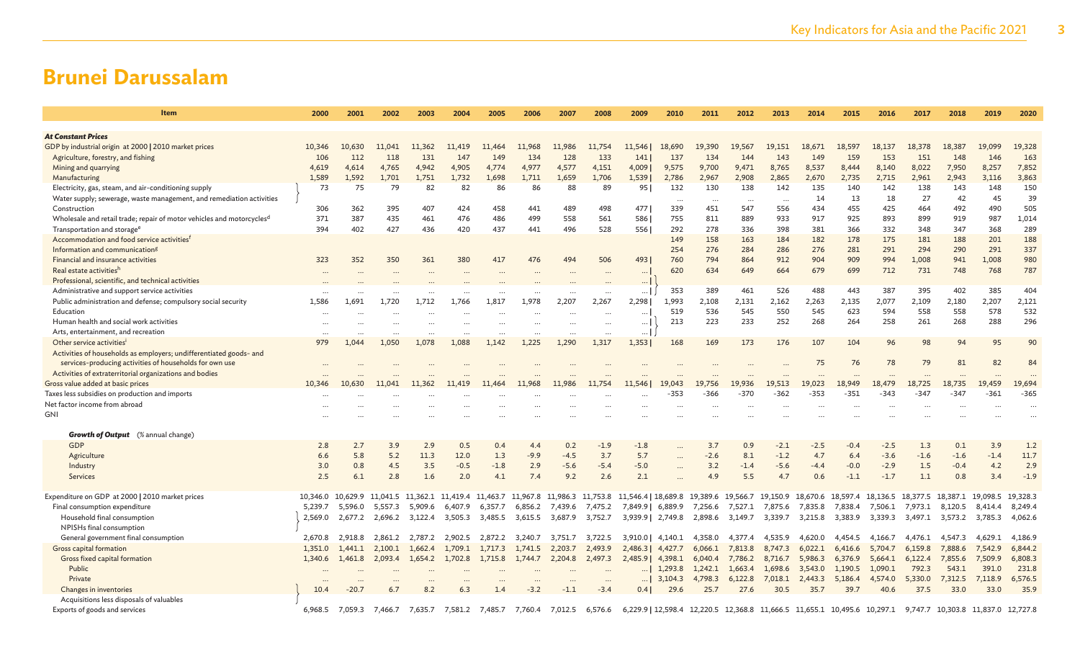| Item                                                                              | 2000               | 2001               | 2002               | 2003               | 2004               | 2005               | 2006                                            | 2007                 | 2008               | 2009                                                                                                              | 2010      | 2011      | 2012            | 2013                       | 2014               | 2015               | 2016                       | 2017               | 2018                       | 2019                       | 2020               |
|-----------------------------------------------------------------------------------|--------------------|--------------------|--------------------|--------------------|--------------------|--------------------|-------------------------------------------------|----------------------|--------------------|-------------------------------------------------------------------------------------------------------------------|-----------|-----------|-----------------|----------------------------|--------------------|--------------------|----------------------------|--------------------|----------------------------|----------------------------|--------------------|
| <b>At Constant Prices</b>                                                         |                    |                    |                    |                    |                    |                    |                                                 |                      |                    |                                                                                                                   |           |           |                 |                            |                    |                    |                            |                    |                            |                            |                    |
| GDP by industrial origin at 2000   2010 market prices                             | 10,346             | 10,630             | 11,041             | 11,362             | 11,419             | 11,464             | 11,968                                          | 11,986               | 11,754             | 11,546                                                                                                            | 18,690    | 19,390    | 19,567          | 19,151                     | 18,671             | 18,597             | 18,137                     | 18,378             | 18,387                     | 19,099                     | 19,328             |
| Agriculture, forestry, and fishing                                                | 106                | 112                | 118                | 131                | 147                | 149                | 134                                             | 128                  | 133                | 141                                                                                                               | 137       | 134       | 144             | 143                        | 149                | 159                | 153                        | 151                | 148                        | 146                        | 163                |
| Mining and quarrying                                                              | 4,619              | 4,614              | 4,765              | 4,942              | 4,905              | 4,774              | 4,977                                           | 4,577                | 4,151              | 4,009                                                                                                             | 9,575     | 9,700     | 9,471           | 8,765                      | 8,537              | 8,444              | 8,140                      | 8,022              | 7,950                      | 8,257                      | 7,852              |
| Manufacturing                                                                     | 1,589              | 1,592              | 1.701              | 1,751              | 1,732              | 1.698              | 1.711                                           | 1,659                | 1,706              | 1,539                                                                                                             | 2,786     | 2,967     | 2,908           | 2,865                      | 2,670              | 2,735              | 2,715                      | 2,961              | 2,943                      | 3,116                      | 3,863              |
| Electricity, gas, steam, and air-conditioning supply                              | 73                 | 75                 | 79                 | 82                 | 82                 | 86                 | 86                                              | 88                   | 89                 | 95                                                                                                                | 132       | 130       | 138             | 142                        | 135                | 140                | 142                        | 138                | 143                        | 148                        | 150                |
| Water supply; sewerage, waste management, and remediation activities              |                    |                    |                    |                    |                    |                    |                                                 |                      |                    |                                                                                                                   | $\cdots$  | $\cdots$  |                 |                            | 14                 | 13                 | 18                         | 27                 | 42                         | 45                         | 39                 |
| Construction                                                                      | 306                | 362                | 395                | 407                | 424                | 458                | 441                                             | 489                  | 498                | 477                                                                                                               | 339       | 451       | 547             | 556                        | 434                | 455                | 425                        | 464                | 492                        | 490                        | 505                |
| Wholesale and retail trade; repair of motor vehicles and motorcycles <sup>d</sup> | 371                | 387                | 435                | 461                | 476                | 486                | 499                                             | 558                  | 561                | 586                                                                                                               | 755       | 811       | 889             | 933                        | 917                | 925                | 893                        | 899                | 919                        | 987                        | 1,014              |
| Transportation and storage <sup>e</sup>                                           | 394                | 402                | 427                | 436                | 420                | 437                | 441                                             | 496                  | 528                | 556                                                                                                               | 292       | 278       | 336             | 398                        | 381                | 366                | 332                        | 348                | 347                        | 368                        | 289                |
| Accommodation and food service activities <sup>f</sup>                            |                    |                    |                    |                    |                    |                    |                                                 |                      |                    |                                                                                                                   | 149       | 158       | 163             | 184                        | 182                | 178                | 175                        | 181                | 188                        | 201                        | 188                |
| Information and communication <sup>g</sup>                                        |                    |                    |                    |                    |                    |                    |                                                 |                      |                    |                                                                                                                   | 254       | 276       | 284             | 286                        | 276                | 281                | 291                        | 294                | 290                        | 291                        | 337                |
| Financial and insurance activities                                                | 323                | 352                | 350                | 361                | 380                | 417                | 476                                             | 494                  | 506                | 4931                                                                                                              | 760       | 794       | 864<br>649      | 912                        | 904                | 909                | 994                        | 1,008              | 941                        | 1,008                      | 980<br>787         |
| Real estate activitiesh<br>Professional, scientific, and technical activities     | $\cdots$           |                    |                    |                    |                    |                    |                                                 |                      | $\ddotsc$          | $\cdots$                                                                                                          | 620       | 634       |                 | 664                        | 679                | 699                | 712                        | 731                | 748                        | 768                        |                    |
| Administrative and support service activities                                     |                    |                    |                    |                    |                    |                    |                                                 |                      |                    | $\ldots$<br>$\ldots$                                                                                              | 353       | 389       | 461             | 526                        | 488                | 443                | 387                        | 395                | 402                        | 385                        | 404                |
| Public administration and defense; compulsory social security                     | 1,586              | 1,691              | 1,720              | 1,712              | 1.766              | 1,817              | 1,978                                           | 2,207                | $\ddotsc$<br>2,267 | 2,298                                                                                                             | 1,993     | 2,108     | 2,131           | 2,162                      | 2,263              | 2,135              | 2,077                      | 2,109              | 2,180                      | 2,207                      | 2,121              |
| Education                                                                         |                    |                    |                    |                    |                    |                    |                                                 |                      | $\ddotsc$          | $\cdots$                                                                                                          | 519       | 536       | 545             | 550                        | 545                | 623                | 594                        | 558                | 558                        | 578                        | 532                |
| Human health and social work activities                                           |                    |                    |                    |                    |                    | $\cdots$           |                                                 | $\ddot{\phantom{a}}$ |                    | $\cdots$                                                                                                          | 213       | 223       | 233             | 252                        | 268                | 264                | 258                        | 261                | 268                        | 288                        | 296                |
| Arts, entertainment, and recreation                                               |                    |                    |                    |                    |                    |                    | $\cdots$                                        | $\ddotsc$            | $\ddotsc$          | $\cdots$                                                                                                          |           |           |                 |                            |                    |                    |                            |                    |                            |                            |                    |
| Other service activities <sup>i</sup>                                             | 979                | 1.044              | 1.050              | 1,078              | 1,088              | 1,142              | 1,225                                           | 1,290                | 1,317              | 1,353                                                                                                             | 168       | 169       | 173             | 176                        | 107                | 104                | 96                         | 98                 | 94                         | 95                         | 90                 |
| Activities of households as employers; undifferentiated goods- and                |                    |                    |                    |                    |                    |                    |                                                 |                      |                    |                                                                                                                   |           |           |                 |                            |                    |                    |                            |                    |                            |                            |                    |
| services-producing activities of households for own use                           |                    |                    |                    |                    |                    |                    |                                                 |                      |                    |                                                                                                                   |           |           |                 |                            | 75                 | 76                 | 78                         | 79                 | 81                         | 82                         | 84                 |
| Activities of extraterritorial organizations and bodies                           |                    |                    |                    |                    |                    |                    |                                                 |                      |                    |                                                                                                                   |           |           |                 |                            | $\cdots$           | $\ddotsc$          |                            | $\ddotsc$          |                            |                            |                    |
| Gross value added at basic prices                                                 | 10,346             | 10,630             | 11.041             | 11,362             | 11,419             | 11.464             | 11,968                                          | 11,986               | 11,754             | 11.546                                                                                                            | 19.043    | 19,756    | 19.936          | 19.513                     | 19,023             | 18.949             | 18,479                     | 18,725             | 18.735                     | 19,459                     | 19,694             |
| Taxes less subsidies on production and imports                                    |                    |                    |                    | $\cdots$           |                    | $\cdots$           | $\cdots$                                        |                      | $\cdots$           | $\ddots$                                                                                                          | $-353$    | -366      | $-370$          | $-362$                     | $-353$             | $-351$             | $-343$                     | $-347$             | $-347$                     | $-361$                     | $-365$             |
| Net factor income from abroad                                                     | $\cdots$           |                    | $\cdots$           | $\cdots$           |                    | $\cdots$           | $\cdots$                                        |                      |                    | $\ddots$                                                                                                          | $\ddotsc$ | $\ddotsc$ | $\cdots$        |                            | $\cdots$           | $\ddotsc$          | $\ddotsc$                  | $\ddotsc$          | $\ddotsc$                  |                            |                    |
| GNI                                                                               |                    |                    |                    |                    |                    |                    |                                                 |                      |                    |                                                                                                                   |           |           |                 |                            |                    |                    |                            |                    |                            |                            |                    |
| <b>Growth of Output</b> (% annual change)                                         |                    |                    |                    |                    |                    |                    |                                                 |                      |                    |                                                                                                                   |           |           |                 |                            |                    |                    |                            |                    |                            |                            |                    |
| GDP                                                                               | 2.8                | 2.7                | 3.9                | 2.9                | 0.5                | 0.4                | 4.4                                             | 0.2                  | $-1.9$             | $-1.8$                                                                                                            |           | 3.7       | 0.9             | $-2.1$                     | $-2.5$             | $-0.4$             | $-2.5$                     | 1.3                | 0.1                        | 3.9                        | 1.2                |
| Agriculture                                                                       | 6.6                | 5.8                | 5.2                | 11.3               | 12.0               | 1.3                | $-9.9$                                          | $-4.5$               | 3.7                | 5.7                                                                                                               |           | $-2.6$    | 8.1             | $-1.2$                     | 4.7                | 6.4                | $-3.6$                     | $-1.6$             | $-1.6$                     | $-1.4$                     | 11.7               |
| Industry                                                                          | 3.0                | 0.8                | 4.5                | 3.5                | $-0.5$             | $-1.8$             | 2.9                                             | $-5.6$               | $-5.4$             | $-5.0$                                                                                                            | $\cdots$  | 3.2       | $-1.4$          | $-5.6$                     | $-4.4$             | $-0.0$             | $-2.9$                     | 1.5                | $-0.4$                     | 4.2                        | 2.9                |
| Services                                                                          | 2.5                | 6.1                | 2.8                | 1.6                | 2.0                | 4.1                | 7.4                                             | 9.2                  | 2.6                | 2.1                                                                                                               |           | 4.9       | 5.5             | 4.7                        | 0.6                | $-1.1$             | $-1.7$                     | 1.1                | 0.8                        | 3.4                        | $-1.9$             |
|                                                                                   |                    |                    |                    |                    |                    |                    |                                                 |                      |                    |                                                                                                                   |           |           |                 |                            |                    |                    |                            |                    |                            |                            |                    |
| Expenditure on GDP at 2000   2010 market prices                                   | 10,346.0           | 10,629.9           | 11,041.5           |                    |                    |                    | 11,362.1 11,419.4 11,463.7 11,967.8 11,986.3    |                      |                    | 11,753.8 11,546.4   18,689.8 19,389.6 19,566.7 19,150.9                                                           |           |           |                 |                            |                    |                    | 18,670.6 18,597.4 18,136.5 |                    | 18,377.5 18,387.1 19,098.5 |                            | 19,328.3           |
| Final consumption expenditure<br>Household final consumption                      | 5,239.7<br>2,569.0 | 5,596.0<br>2,677.2 | 5,557.3<br>2,696.2 | 5,909.6<br>3,122.4 | 6,407.9<br>3,505.3 | 6,357.7<br>3,485.5 | 6,856.2<br>3,615.5                              | 7,439.6<br>3,687.9   | 7,475.2<br>3,752.7 | 7,849.9 6,889.9<br>3,939.9 2,749.8                                                                                |           | 7,256.6   | 2,898.6 3,149.7 | 7,527.1 7,875.6<br>3,339.7 | 7,835.8<br>3,215.8 | 7,838.4<br>3,383.9 | 7,506.1<br>3,339.3         | 7,973.1<br>3,497.1 | 8,120.5                    | 8.414.4<br>3,573.2 3,785.3 | 8,249.4<br>4,062.6 |
| NPISHs final consumption                                                          |                    |                    |                    |                    |                    |                    |                                                 |                      |                    |                                                                                                                   |           |           |                 |                            |                    |                    |                            |                    |                            |                            |                    |
| General government final consumption                                              | 2,670.8            | 2,918.8            | 2,861.2            | 2,787.2            | 2,902.5            | 2,872.2            | 3,240.7                                         | 3,751.7              | 3,722.5            | 3,910.0                                                                                                           | 4,140.1   | 4,358.0   | 4,377.4         | 4,535.9                    | 4,620.0            | 4,454.5            | 4,166.7                    | 4,476.1            | 4,547.3                    | 4,629.1                    | 4,186.9            |
| <b>Gross capital formation</b>                                                    | 1,351.0            | 1.441.1            | 2,100.1 1,662.4    |                    | 1,709.1            | 1,717.3            | 1,741.5                                         | 2,203.7              | 2,493.9            | 2,486.3                                                                                                           | 4,427.7   | 6,066.1   | 7,813.8         | 8,747.3                    | 6,022.1            |                    | 6,416.6 5,704.7            | 6,159.8            | 7,888.6                    | 7,542.9                    | 6,844.2            |
| Gross fixed capital formation                                                     | 1,340.6            | 1,461.8            | 2,093.4            | 1,654.2            | 1,702.8            | 1,715.8            | 1,744.7                                         | 2,204.8              | 2,497.3            | 2,485.9                                                                                                           | 4,398.1   | 6,040.4   | 7,786.2         | 8,716.7                    | 5,986.3            | 6,376.9            | 5,664.1                    | 6,122.4            | 7,855.6                    | 7,509.9                    | 6,808.3            |
| Public                                                                            |                    |                    |                    |                    |                    |                    |                                                 |                      |                    | $\ldots$                                                                                                          | 1,293.8   | 1,242.1   | 1,663.4         | 1,698.6                    | 3,543.0            | 1,190.5            | 1,090.1                    | 792.3              | 543.1                      | 391.0                      | 231.8              |
| Private                                                                           |                    |                    |                    |                    |                    |                    |                                                 |                      |                    | $\ldots$                                                                                                          | 3,104.3   | 4,798.3   | 6,122.8         | 7,018.1                    | 2,443.3            | 5,186.4            | 4,574.0                    | 5,330.0            | 7,312.5                    | 7,118.9                    | 6,576.5            |
| Changes in inventories                                                            | 10.4               | $-20.7$            | 6.7                | 8.2                | 6.3                | 1.4                | $-3.2$                                          | $-1.1$               | $-3.4$             | 0.4                                                                                                               | 29.6      | 25.7      | 27.6            | 30.5                       | 35.7               | 39.7               | 40.6                       | 37.5               | 33.0                       | 33.0                       | 35.9               |
| Acquisitions less disposals of valuables                                          |                    |                    |                    |                    |                    |                    |                                                 |                      |                    |                                                                                                                   |           |           |                 |                            |                    |                    |                            |                    |                            |                            |                    |
| Exports of goods and services                                                     | 6,968.5            | 7,059.3            |                    |                    |                    |                    | 7,466.7 7,635.7 7,581.2 7,485.7 7,760.4 7,012.5 |                      |                    | 6,576.6 6,229.9 12,598.4 12,220.5 12,368.8 11,666.5 11,655.1 10,495.6 10,297.1 9,747.7 10,303.8 11,837.0 12,727.8 |           |           |                 |                            |                    |                    |                            |                    |                            |                            |                    |
|                                                                                   |                    |                    |                    |                    |                    |                    |                                                 |                      |                    |                                                                                                                   |           |           |                 |                            |                    |                    |                            |                    |                            |                            |                    |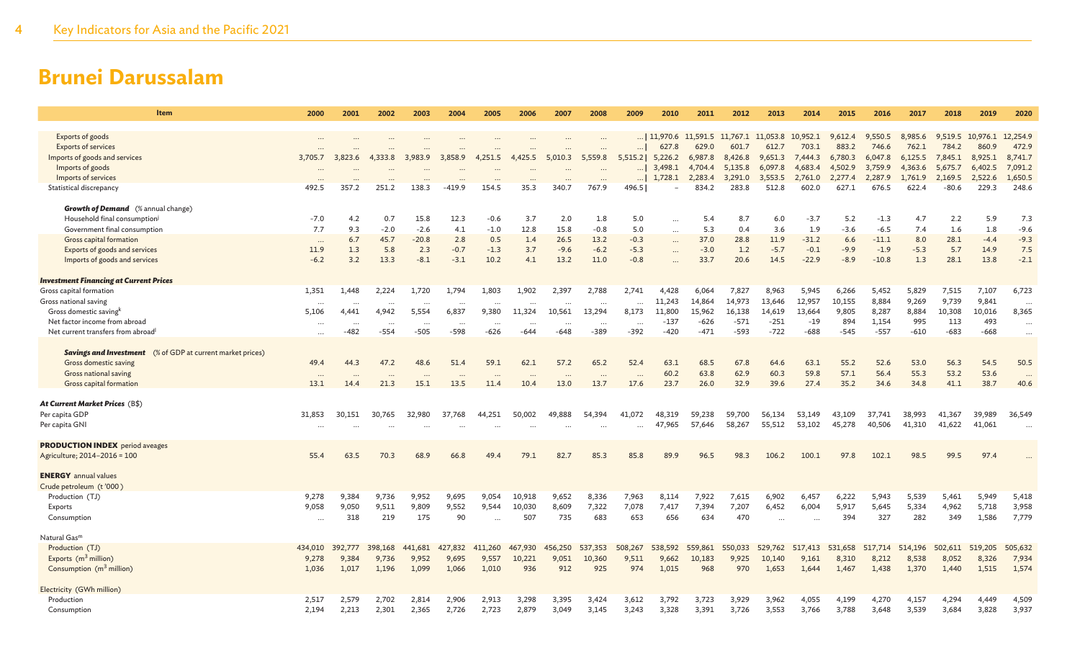| Item                                                                     | 2000                     | 2001           | 2002           | 2003         | 2004        | 2005           | 2006                 | 2007           | 2008         | 2009                 | 2010               | 2011                                | 2012               | 2013               | 2014               | 2015               | 2016               | 2017               | 2018               | 2019               | 2020                 |
|--------------------------------------------------------------------------|--------------------------|----------------|----------------|--------------|-------------|----------------|----------------------|----------------|--------------|----------------------|--------------------|-------------------------------------|--------------------|--------------------|--------------------|--------------------|--------------------|--------------------|--------------------|--------------------|----------------------|
|                                                                          |                          |                |                |              |             |                |                      |                |              |                      |                    |                                     |                    |                    |                    |                    |                    |                    |                    |                    |                      |
| Exports of goods                                                         | $\ddots$                 |                |                |              |             |                |                      |                |              |                      |                    | 11,970.6 11,591.5 11,767.1 11,053.8 |                    |                    | 10,952.1           | 9.612.4            | 9.550.5            | 8,985.6            | 9.519.5            | 10,976.1           | 12,254.9             |
| <b>Exports of services</b>                                               |                          |                |                |              |             |                | $\cdots$             |                |              | $\ldots$             | 627.8              | 629.0                               | 601.7              | 612.7              | 703.1              | 883.2              | 746.6              | 762.1              | 784.2              | 860.9              | 472.9                |
| Imports of goods and services<br>Imports of goods                        | 3,705.7                  | 3,823.6        | 4,333.8        | 3,983.9      | 3,858.9     | 4,251.5        | 4,425.5              | 5,010.3        | 5,559.8      | 5,515.2              | 5,226.2<br>3,498.1 | 6,987.8<br>4,704.4                  | 8,426.8<br>5,135.8 | 9,651.3<br>6,097.8 | 7,444.3<br>4,683.4 | 6,780.3<br>4,502.9 | 6,047.8<br>3,759.9 | 6,125.5<br>4,363.6 | 7,845.1<br>5,675.7 | 8,925.1<br>6,402.5 | 8,741.7<br>7,091.2   |
| Imports of services                                                      |                          |                |                |              |             |                |                      |                |              | $\ldots$<br>$\ldots$ | 1,728.1            | 2,283.4                             | 3,291.0            | 3,553.5            | 2,761.0            | 2.277.4            | 2,287.9            | 1,761.9            | 2,169.5            | 2,522.6            | 1,650.5              |
| Statistical discrepancy                                                  | 492.5                    | 357.2          | 251.2          | 138.3        | $-419.9$    | 154.5          | 35.3                 | 340.7          | 767.9        | 496.5                |                    | 834.2                               | 283.8              | 512.8              | 602.0              | 627.1              | 676.5              | 622.4              | $-80.6$            | 229.3              | 248.6                |
|                                                                          |                          |                |                |              |             |                |                      |                |              |                      |                    |                                     |                    |                    |                    |                    |                    |                    |                    |                    |                      |
| <b>Growth of Demand</b> (% annual change)                                |                          |                |                |              |             |                |                      |                |              |                      |                    |                                     |                    |                    |                    |                    |                    |                    |                    |                    |                      |
| Household final consumption <sup>j</sup>                                 | $-7.0$                   | 4.2            | 0.7            | 15.8         | 12.3        | $-0.6$         | 3.7                  | 2.0            | 1.8          | 5.0                  | $\ddotsc$          | 5.4                                 | 8.7                | 6.0                | $-3.7$             | 5.2                | $-1.3$             | 4.7                | 2.2                | 5.9                | 7.3                  |
| Government final consumption                                             | 7.7                      | 9.3            | $-2.0$         | $-2.6$       | 4.1         | $-1.0$         | 12.8                 | 15.8           | $-0.8$       | 5.0                  | $\cdots$           | 5.3                                 | 0.4                | 3.6                | 1.9                | $-3.6$             | $-6.5$             | 7.4                | 1.6                | 1.8                | $-9.6$               |
| Gross capital formation                                                  | $\cdots$                 | 6.7            | 45.7           | $-20.8$      | 2.8         | 0.5            | 1.4                  | 26.5           | 13.2         | $-0.3$               |                    | 37.0                                | 28.8               | 11.9               | $-31.2$            | 6.6                | $-11.1$            | 8.0                | 28.1               | $-4.4$             | $-9.3$               |
| Exports of goods and services                                            | 11.9                     | 1.3            | 5.8            | 2.3          | $-0.7$      | $-1.3$         | 3.7                  | $-9.6$         | $-6.2$       | $-5.3$               |                    | $-3.0$                              | 1.2                | $-5.7$             | $-0.1$             | $-9.9$             | $-1.9$             | $-5.3$             | 5.7                | 14.9               | 7.5                  |
| Imports of goods and services                                            | $-6.2$                   | 3.2            | 13.3           | $-8.1$       | $-3.1$      | 10.2           | 4.1                  | 13.2           | 11.0         | $-0.8$               |                    | 33.7                                | 20.6               | 14.5               | $-22.9$            | $-8.9$             | $-10.8$            | 1.3                | 28.1               | 13.8               | $-2.1$               |
|                                                                          |                          |                |                |              |             |                |                      |                |              |                      |                    |                                     |                    |                    |                    |                    |                    |                    |                    |                    |                      |
| <b>Investment Financing at Current Prices</b><br>Gross capital formation | 1,351                    | 1,448          | 2,224          | 1,720        | 1,794       | 1,803          | 1,902                | 2,397          | 2,788        | 2,741                | 4,428              | 6,064                               | 7,827              | 8,963              | 5,945              | 6,266              | 5,452              | 5,829              | 7,515              | 7,107              | 6,723                |
| Gross national saving                                                    | $\cdots$                 | $\cdots$       | $\cdots$       |              | $\cdots$    | $\cdots$       | $\cdots$             |                | .            | $\ddots$             | 11,243             | 14,864                              | 14,973             | 13,646             | 12,957             | 10,155             | 8,884              | 9,269              | 9,739              | 9,841              | $\cdot$              |
| Gross domestic saving <sup>k</sup>                                       | 5,106                    | 4,441          | 4,942          | 5,554        | 6,837       | 9,380          | 11,324               | 10,561         | 13,294       | 8,173                | 11,800             | 15,962                              | 16,138             | 14,619             | 13,664             | 9,805              | 8,287              | 8,884              | 10,308             | 10,016             | 8,365                |
| Net factor income from abroad                                            | $\cdots$                 | $\cdots$       | $\cdots$       | $\cdots$     |             | $\cdots$       | $\cdots$             | $\cdots$       | $\cdots$     | $\cdots$             | $-137$             | $-626$                              | $-571$             | $-251$             | $-19$              | 894                | 1,154              | 995                | 113                | 493                | $\cdots$             |
| Net current transfers from abroad                                        | $\overline{\phantom{a}}$ | $-482$         | $-554$         | $-505$       | $-598$      | $-626$         | $-644$               | $-648$         | $-389$       | $-392$               | $-420$             | $-471$                              | $-593$             | $-722$             | $-688$             | $-545$             | $-557$             | $-610$             | $-683$             | $-668$             | $\cdots$             |
|                                                                          |                          |                |                |              |             |                |                      |                |              |                      |                    |                                     |                    |                    |                    |                    |                    |                    |                    |                    |                      |
| <b>Savings and Investment</b> (% of GDP at current market prices)        |                          |                |                |              |             |                |                      |                |              |                      |                    |                                     |                    |                    |                    |                    |                    |                    |                    |                    |                      |
| Gross domestic saving                                                    | 49.4                     | 44.3           | 47.2           | 48.6         | 51.4        | 59.1           | 62.1                 | 57.2           | 65.2         | 52.4                 | 63.1               | 68.5                                | 67.8               | 64.6               | 63.1               | 55.2               | 52.6               | 53.0               | 56.3               | 54.5               | 50.5                 |
| Gross national saving                                                    | $\cdots$                 |                |                |              |             |                | $\ddot{\phantom{a}}$ |                |              | $\cdots$             | 60.2               | 63.8                                | 62.9               | 60.3               | 59.8               | 57.1               | 56.4               | 55.3               | 53.2               | 53.6               | $\ddot{\phantom{a}}$ |
| Gross capital formation                                                  | 13.1                     | 14.4           | 21.3           | 15.1         | 13.5        | 11.4           | 10.4                 | 13.0           | 13.7         | 17.6                 | 23.7               | 26.0                                | 32.9               | 39.6               | 27.4               | 35.2               | 34.6               | 34.8               | 41.1               | 38.7               | 40.6                 |
| At Current Market Prices (B\$)                                           |                          |                |                |              |             |                |                      |                |              |                      |                    |                                     |                    |                    |                    |                    |                    |                    |                    |                    |                      |
| Per capita GDP                                                           | 31,853                   | 30,151         | 30,765         | 32,980       | 37,768      | 44,251         | 50,002               | 49,888         | 54,394       | 41,072               | 48,319             | 59.238                              | 59,700             | 56,134             | 53,149             | 43,109             | 37.741             | 38,993             | 41,367             | 39,989             | 36,549               |
| Per capita GNI                                                           |                          |                |                |              |             |                |                      |                |              | $\cdots$             | 47,965             | 57,646                              | 58,267             | 55,512             | 53,102             | 45,278             | 40,506             | 41,310             | 41,622             | 41,061             |                      |
|                                                                          |                          |                |                |              |             |                |                      |                |              |                      |                    |                                     |                    |                    |                    |                    |                    |                    |                    |                    |                      |
| <b>PRODUCTION INDEX</b> period aveages                                   |                          |                |                |              |             |                |                      |                |              |                      |                    |                                     |                    |                    |                    |                    |                    |                    |                    |                    |                      |
| Agriculture; 2014-2016 = 100                                             | 55.4                     | 63.5           | 70.3           | 68.9         | 66.8        | 49.4           | 79.1                 | 82.7           | 85.3         | 85.8                 | 89.9               | 96.5                                | 98.3               | 106.2              | 100.1              | 97.8               | 102.1              | 98.5               | 99.5               | 97.4               |                      |
|                                                                          |                          |                |                |              |             |                |                      |                |              |                      |                    |                                     |                    |                    |                    |                    |                    |                    |                    |                    |                      |
| <b>ENERGY</b> annual values                                              |                          |                |                |              |             |                |                      |                |              |                      |                    |                                     |                    |                    |                    |                    |                    |                    |                    |                    |                      |
| Crude petroleum (t'000)                                                  |                          |                |                |              |             |                |                      |                |              |                      |                    |                                     |                    |                    |                    |                    |                    |                    |                    |                    |                      |
| Production (TJ)                                                          | 9,278<br>9,058           | 9,384<br>9,050 | 9,736<br>9,511 | 9,952        | 9,695       | 9,054<br>9,544 | 10,918               | 9,652<br>8,609 | 8,336        | 7,963                | 8,114              | 7,922                               | 7,615              | 6,902              | 6,457              | 6,222              | 5,943<br>5,645     | 5,539              | 5,461              | 5,949              | 5,418                |
| Exports<br>Consumption                                                   |                          | 318            | 219            | 9,809<br>175 | 9,552<br>90 |                | 10,030<br>507        | 735            | 7,322<br>683 | 7,078<br>653         | 7,417<br>656       | 7,394<br>634                        | 7,207<br>470       | 6,452              | 6,004              | 5,917<br>394       | 327                | 5,334<br>282       | 4,962<br>349       | 5,718<br>1,586     | 3,958<br>7,779       |
|                                                                          | $\ddotsc$                |                |                |              |             |                |                      |                |              |                      |                    |                                     |                    | $\cdot$ $\cdot$    |                    |                    |                    |                    |                    |                    |                      |
| Natural Gas <sup>m</sup>                                                 |                          |                |                |              |             |                |                      |                |              |                      |                    |                                     |                    |                    |                    |                    |                    |                    |                    |                    |                      |
| Production (TJ)                                                          | 434,010                  | 392,777        | 398,168        | 441,681      | 427,832     | 411,260        | 467,930              | 456,250        | 537,353      | 508,267              | 538,592            | 559,861                             | 550,033            | 529,762            | 517,413            | 531,658            | 517,714            | 514,196            | 502,611            | 519,205            | 505,632              |
| Exports $(m^3)$ million)                                                 | 9,278                    | 9,384          | 9,736          | 9,952        | 9,695       | 9,557          | 10,221               | 9,051          | 10,360       | 9,511                | 9,662              | 10,183                              | 9,925              | 10,140             | 9,161              | 8,310              | 8,212              | 8,538              | 8,052              | 8,326              | 7,934                |
| Consumption $(m^3 \text{ million})$                                      | 1,036                    | 1,017          | 1,196          | 1,099        | 1,066       | 1,010          | 936                  | 912            | 925          | 974                  | 1,015              | 968                                 | 970                | 1,653              | 1,644              | 1,467              | 1,438              | 1,370              | 1,440              | 1,515              | 1,574                |
|                                                                          |                          |                |                |              |             |                |                      |                |              |                      |                    |                                     |                    |                    |                    |                    |                    |                    |                    |                    |                      |
| Electricity (GWh million)                                                |                          |                |                |              |             |                |                      |                |              |                      |                    |                                     |                    |                    |                    |                    |                    |                    |                    |                    |                      |
| Production                                                               | 2,517                    | 2,579          | 2,702          | 2,814        | 2,906       | 2,913          | 3,298                | 3,395          | 3,424        | 3,612                | 3,792              | 3,723                               | 3,929              | 3,962              | 4,055              | 4,199              | 4,270              | 4,157              | 4,294              | 4,449              | 4,509                |
| Consumption                                                              | 2,194                    | 2,213          | 2,301          | 2,365        | 2,726       | 2,723          | 2,879                | 3,049          | 3,145        | 3,243                | 3,328              | 3,391                               | 3,726              | 3,553              | 3,766              | 3,788              | 3,648              | 3,539              | 3,684              | 3,828              | 3,937                |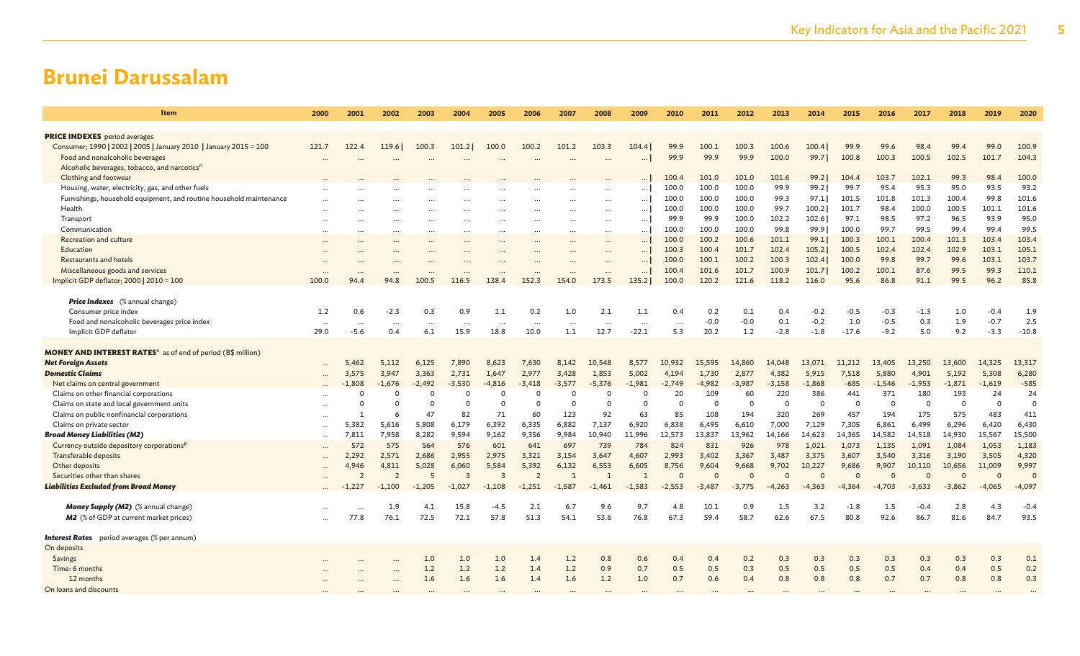| Item                                                                                                     | 2000              | 2001               | 2002            | 2003            | 2004             | 2005             | 2006             | 2007            | 2008                  | 2009                 | 2010            | 2011           | 2012           | 2013          | 2014             | 2015           | 2016             | 2017          | 2018          | 2019             | 2020           |
|----------------------------------------------------------------------------------------------------------|-------------------|--------------------|-----------------|-----------------|------------------|------------------|------------------|-----------------|-----------------------|----------------------|-----------------|----------------|----------------|---------------|------------------|----------------|------------------|---------------|---------------|------------------|----------------|
|                                                                                                          |                   |                    |                 |                 |                  |                  |                  |                 |                       |                      |                 |                |                |               |                  |                |                  |               |               |                  |                |
| <b>PRICE INDEXES</b> period averages<br>Consumer; 1990   2002   2005   January 2010   January 2015 = 100 | 121.7             | 122.4              | 119.61          | 100.3           | 101.21           | 100.0            | 100.2            | 101.2           | 103.3                 | 104.4                | 99.9            | 100.1          | 100.3          | 100.6         | 100.41           | 99.9           | 99.6             | 98.4          | 99.4          | 99.0             | 100.9          |
| Food and nonalcoholic beverages                                                                          |                   |                    |                 |                 |                  |                  |                  |                 |                       | $\cdots$             | 99.9            | 99.9           | 99.9           | 100.0         | 99.71            | 100.8          | 100.3            | 100.5         | 102.5         | 101.7            | 104.3          |
| Alcoholic beverages, tobacco, and narcotics <sup>n</sup>                                                 |                   |                    |                 |                 |                  |                  |                  |                 |                       |                      |                 |                |                |               |                  |                |                  |               |               |                  |                |
| Clothing and footwear                                                                                    |                   |                    |                 |                 |                  |                  |                  |                 |                       |                      | 100.4           | 101.0          | 101.0          | 101.6         | 99.2             | 104.4          | 103.7            | 102.1         | 99.3          | 98.4             | 100.0          |
| Housing, water, electricity, gas, and other fuels                                                        |                   |                    |                 |                 |                  |                  |                  |                 |                       | $\ldots$             | 100.0           | 100.0          | 100.0          | 99.9          | 99.2             | 99.7           | 95.4             | 95.3          | 95.0          | 93.5             | 93.2           |
| Furnishings, household equipment, and routine household maintenance                                      |                   |                    |                 |                 |                  |                  | $\cdots$         |                 |                       | $\ldots$             | 100.0           | 100.0          | 100.0          | 99.3          | 97.1             | 101.5          | 101.8            | 101.3         | 100.4         | 99.8             | 101.6          |
| Health                                                                                                   | $\cdots$          |                    |                 | $\cdots$        |                  | $\cdots$         | $\cdots$         |                 | $\cdots$              | $\ldots$             | 100.0           | 100.0          | 100.0          | 99.7          | 100.2            | 101.7          | 98.4             | 100.0         | 100.5         | 101.1            | 101.6          |
| Transport                                                                                                | $\cdots$          |                    | $\cdots$        | $\cdots$        |                  | $\cdots$         | $\cdots$         |                 | $\cdots$              | $\ldots$             | 99.9            | 99.9           | 100.0          | 102.2         | 102.6            | 97.1           | 98.5             | 97.2          | 96.5          | 93.9             | 95.0           |
| Communication<br>Recreation and culture                                                                  | $\ddots$          |                    |                 | $\cdots$        |                  | $\cdots$         | $\cdots$         | $\ddotsc$       | $\ddots$              | $\ldots$             | 100.0<br>100.0  | 100.0<br>100.2 | 100.0<br>100.6 | 99.8<br>101.1 | 99.9             | 100.0<br>100.3 | 99.7<br>100.1    | 99.5<br>100.4 | 99.4<br>101.3 | 99.4<br>103.4    | 99.5<br>103.4  |
| Education                                                                                                | $\ddots$          |                    |                 |                 |                  | $\cdots$         | $\cdots$         |                 | $\cdots$<br>$\ddotsc$ | $\ldots$<br>$\ldots$ | 100.3           | 100.4          | 101.7          | 102.4         | 99.1<br>105.2    | 100.5          | 102.4            | 102.4         | 102.9         | 103.1            | 105.1          |
| Restaurants and hotels                                                                                   | $\cdots$          |                    |                 |                 |                  |                  | $\cdots$         |                 |                       | $\ldots$             | 100.0           | 100.1          | 100.2          | 100.3         | 102.4            | 100.0          | 99.8             | 99.7          | 99.6          | 103.1            | 103.7          |
| Miscellaneous goods and services                                                                         | $\cdots$          |                    |                 |                 |                  |                  | $\cdots$         |                 | $\cdots$              | $\ldots$             | 100.4           | 101.6          | 101.7          | 100.9         | 101.7            | 100.2          | 100.1            | 87.6          | 99.5          | 99.3             | 110.1          |
| Implicit GDP deflator; 2000   2010 = 100                                                                 | 100.0             | 94.4               | 94.8            | 100.5           | 116.5            | 138.4            | 152.3            | 154.0           | 173.5                 | 135.2                | 100.0           | 120.2          | 121.6          | 118.2         | 116.0            | 95.6           | 86.8             | 91.1          | 99.5          | 96.2             | 85.8           |
|                                                                                                          |                   |                    |                 |                 |                  |                  |                  |                 |                       |                      |                 |                |                |               |                  |                |                  |               |               |                  |                |
| <b>Price Indexes</b> (% annual change)                                                                   |                   |                    |                 |                 |                  |                  |                  |                 |                       |                      |                 |                |                |               |                  |                |                  |               |               |                  |                |
| Consumer price index                                                                                     | 1.2               | 0.6                | $-2.3$          | 0.3             | 0.9              | 1.1              | 0.2              | 1.0             | 2.1                   | 1.1                  | 0.4             | 0.2            | 0.1            | 0.4           | $-0.2$           | $-0.5$         | $-0.3$           | $-1.3$        | 1.0           | $-0.4$           | 1.9            |
| Food and nonalcoholic beverages price index<br>Implicit GDP deflator                                     | $\cdot$ .<br>29.0 | $\ldots$<br>$-5.6$ | $\cdots$<br>0.4 | $\cdots$<br>6.1 | $\cdots$<br>15.9 | $\cdots$<br>18.8 | $\ldots$<br>10.0 | $\cdots$<br>1.1 | $\cdots$<br>12.7      | $\ddots$<br>$-22.1$  | $\ldots$<br>5.3 | $-0.0$<br>20.2 | $-0.0$<br>1.2  | 0.1<br>$-2.8$ | $-0.2$<br>$-1.8$ | 1.0<br>$-17.6$ | $-0.5$<br>$-9.2$ | 0.3<br>5.0    | 1.9<br>9.2    | $-0.7$<br>$-3.3$ | 2.5<br>$-10.8$ |
|                                                                                                          |                   |                    |                 |                 |                  |                  |                  |                 |                       |                      |                 |                |                |               |                  |                |                  |               |               |                  |                |
| <b>MONEY AND INTEREST RATES<sup>o</sup> as of end of period (B\$ million)</b>                            |                   |                    |                 |                 |                  |                  |                  |                 |                       |                      |                 |                |                |               |                  |                |                  |               |               |                  |                |
| <b>Net Foreign Assets</b>                                                                                | $\cdots$          | 5,462              | 5,112           | 6,125           | 7,890            | 8,623            | 7,630            | 8,142           | 10,548                | 8,577                | 10.932          | 15,595         | 14,860         | 14,048        | 13,071           | 11,212         | 13,405           | 13,250        | 13,600        | 14,325           | 13,317         |
| <b>Domestic Claims</b>                                                                                   | $\ddots$          | 3,575              | 3,947           | 3,363           | 2,731            | 1,647            | 2,977            | 3,428           | 1,853                 | 5,002                | 4,194           | 1,730          | 2,877          | 4,382         | 5,915            | 7,518          | 5,880            | 4,901         | 5,192         | 5,308            | 6,280          |
| Net claims on central government                                                                         |                   | $-1,808$           | $-1,676$        | $-2,492$        | $-3,530$         | $-4,816$         | $-3,418$         | $-3,577$        | $-5,376$              | $-1,981$             | $-2,749$        | $-4,982$       | $-3,987$       | $-3,158$      | $-1,868$         | $-685$         | $-1,546$         | $-1,953$      | $-1,871$      | $-1,619$         | $-585$         |
| Claims on other financial corporations                                                                   |                   | $\Omega$           | $\Omega$        | $\Omega$        | $\Omega$         | $\Omega$         | $\Omega$         | $\Omega$        | $\Omega$              | $\Omega$             | 20              | 109            | 60             | 220           | 386              | 441            | 371              | 180           | 193           | 24               | 24             |
| Claims on state and local government units                                                               | $\cdots$          | $\Omega$           | $\Omega$        | $\Omega$<br>47  |                  | $\Omega$<br>71   | $\Omega$<br>60   | $\Omega$<br>123 | $\Omega$              | $\Omega$<br>63       | $\Omega$        | $\Omega$       | $\Omega$       | $\Omega$      | $\overline{0}$   | $\Omega$       | $\overline{0}$   | $\Omega$      | $\mathbf 0$   | $\Omega$         | $\Omega$       |
| Claims on public nonfinancial corporations<br>Claims on private sector                                   |                   | 5,382              | 6<br>5,616      | 5,808           | 82<br>6,179      | 6,392            | 6,335            | 6,882           | 92<br>7,137           | 6,920                | 85<br>6,838     | 108<br>6,495   | 194<br>6,610   | 320<br>7,000  | 269<br>7,129     | 457<br>7,305   | 194<br>6,861     | 175<br>6,499  | 575<br>6,296  | 483<br>6,420     | 411<br>6,430   |
| <b>Broad Money Liabilities (M2)</b>                                                                      | $\ddotsc$<br>     | 7,811              | 7,958           | 8,282           | 9,594            | 9,162            | 9,356            | 9,984           | 10,940                | 11,996               | 12,573          | 13,837         | 13,962         | 14,166        | 14,623           | 14,365         | 14,582           | 14,518        | 14,930        | 15,567           | 15,500         |
| Currency outside depository corporations <sup>p</sup>                                                    |                   | 572                | 575             | 564             | 576              | 601              | 641              | 697             | 739                   | 784                  | 824             | 831            | 926            | 978           | 1.021            | 1,073          | 1,135            | 1,091         | 1,084         | 1,053            | 1,183          |
| Transferable deposits                                                                                    | $\cdots$          | 2,292              | 2,571           | 2,686           | 2,955            | 2,975            | 3,321            | 3,154           | 3,647                 | 4,607                | 2,993           | 3,402          | 3,367          | 3,487         | 3,375            | 3,607          | 3,540            | 3,316         | 3,190         | 3,505            | 4,320          |
| Other deposits                                                                                           |                   | 4.946              | 4,811           | 5,028           | 6,060            | 5,584            | 5,392            | 6,132           | 6,553                 | 6,605                | 8,756           | 9,604          | 9,668          | 9,702         | 10,227           | 9,686          | 9,907            | 10,110        | 10,656        | 11,009           | 9,997          |
| Securities other than shares                                                                             |                   | $\overline{2}$     | $\overline{2}$  | 5               | $\overline{3}$   | $\overline{3}$   | $\overline{2}$   | $\overline{1}$  | $\mathbf{1}$          | $\overline{1}$       | $\Omega$        | $\Omega$       | $\Omega$       | $\Omega$      | $\Omega$         | $\Omega$       | $\Omega$         | $\Omega$      | $\Omega$      | $\Omega$         | $\Omega$       |
| <b>Liabilities Excluded from Broad Money</b>                                                             |                   | -1,227             | $-1,100$        | $-1,205$        | $-1,027$         | $-1,108$         | $-1,251$         | $-1,587$        | $-1,461$              | $-1,583$             | $-2,553$        | $-3,487$       | $-3,775$       | $-4,263$      | $-4,363$         | $-4,364$       | $-4,703$         | $-3,633$      | $-3,862$      | $-4,065$         | $-4,097$       |
| Money Supply (M2) (% annual change)                                                                      |                   |                    | 1.9             | 4.1             | 15.8             | $-4.5$           | 2.1              | 6.7             | 9.6                   | 9.7                  | 4.8             | 10.1           | 0.9            | 1.5           | 3.2              | $-1.8$         | 1.5              | $-0.4$        | 2.8           | 4.3              | $-0.4$         |
| <b>M2</b> (% of GDP at current market prices)                                                            | $\cdots$          | 77.8               | 76.1            | 72.5            | 72.1             | 57.8             | 51.3             | 54.1            | 53.6                  | 76.8                 | 67.3            | 59.4           | 58.7           | 62.6          | 67.5             | 80.8           | 92.6             | 86.7          | 81.6          | 84.7             | 93.5           |
|                                                                                                          |                   |                    |                 |                 |                  |                  |                  |                 |                       |                      |                 |                |                |               |                  |                |                  |               |               |                  |                |
| <b>Interest Rates</b> period averages (% per annum)                                                      |                   |                    |                 |                 |                  |                  |                  |                 |                       |                      |                 |                |                |               |                  |                |                  |               |               |                  |                |
| On deposits                                                                                              |                   |                    |                 |                 |                  |                  |                  |                 |                       |                      |                 |                |                |               |                  |                |                  |               |               |                  |                |
| Savings                                                                                                  |                   |                    |                 | 1.0             | 1.0              | 1.0              | 1.4              | 1.2             | 0.8                   | 0.6                  | 0.4             | 0.4            | 0.2            | 0.3           | 0.3              | 0.3            | 0.3              | 0.3           | 0.3           | 0.3              | 0.1            |
| Time: 6 months                                                                                           |                   |                    |                 | 1.2             | 1.2              | 1.2              | 1.4              | 1.2             | 0.9                   | 0.7                  | 0.5             | 0.5            | 0.3            | 0.5           | 0.5              | 0.5            | 0.5              | 0.4           | 0.4           | 0.5              | 0.2            |
| 12 months                                                                                                |                   |                    |                 | 1.6             | 1.6              | 1.6              | 1.4              | 1.6             | 1.2                   | 1.0                  | 0.7             | 0.6            | 0.4            | 0.8           | 0.8              | 0.8            | 0.7              | 0.7           | 0.8           | 0.8              | 0.3            |
| On loans and discounts                                                                                   |                   |                    |                 |                 |                  |                  |                  |                 |                       |                      |                 |                |                |               |                  |                |                  |               |               |                  |                |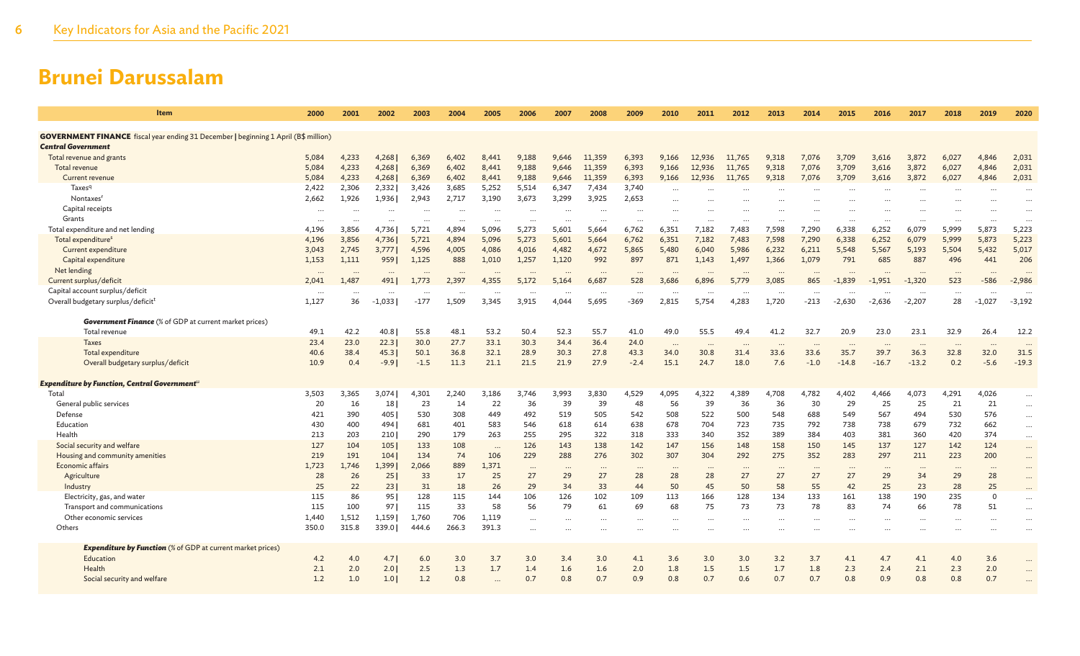| Item                                                                                                                    | 2000                 | 2001     | 2002            | 2003                 | 2004     | 2005     | 2006     | 2007      | 2008      | 2009     | 2010                 | 2011     | 2012      | 2013          | 2014     | 2015      | 2016     | 2017     | 2018     | 2019           | 2020      |
|-------------------------------------------------------------------------------------------------------------------------|----------------------|----------|-----------------|----------------------|----------|----------|----------|-----------|-----------|----------|----------------------|----------|-----------|---------------|----------|-----------|----------|----------|----------|----------------|-----------|
| <b>GOVERNMENT FINANCE</b> fiscal year ending 31 December   beginning 1 April (B\$ million)<br><b>Central Government</b> |                      |          |                 |                      |          |          |          |           |           |          |                      |          |           |               |          |           |          |          |          |                |           |
| Total revenue and grants                                                                                                | 5,084                | 4,233    | 4,268           | 6,369                | 6.402    | 8,441    | 9,188    | 9.646     | 11.359    | 6,393    | 9.166                | 12,936   | 11,765    | 9.318         | 7,076    | 3,709     | 3.616    | 3,872    | 6,027    | 4.846          | 2,031     |
| <b>Total revenue</b>                                                                                                    | 5,084                | 4,233    | 4,268           | 6,369                | 6,402    | 8,441    | 9,188    | 9.646     | 11,359    | 6,393    | 9,166                | 12,936   | 11,765    | 9,318         | 7,076    | 3,709     | 3,616    | 3,872    | 6,027    | 4,846          | 2,031     |
| Current revenue                                                                                                         | 5,084                | 4,233    | 4,268           | 6,369                | 6,402    | 8,441    | 9,188    | 9,646     | 11,359    | 6,393    | 9,166                | 12,936   | 11,765    | 9,318         | 7,076    | 3,709     | 3,616    | 3,872    | 6,027    | 4,846          | 2,031     |
| Taxes <sup>q</sup>                                                                                                      | 2,422                | 2,306    | 2,332           | 3,426                | 3,685    | 5,252    | 5,514    | 6,347     | 7,434     | 3,740    |                      |          |           |               |          |           |          |          |          |                |           |
| Nontaxes <sup>1</sup>                                                                                                   | 2,662                | 1,926    | 1,936           | 2,943                | 2,717    | 3,190    | 3,673    | 3,299     | 3,925     | 2,653    | $\ddotsc$            |          |           |               | $\cdots$ |           | $\cdots$ | $\cdots$ | $\cdots$ |                | $\ddotsc$ |
| Capital receipts                                                                                                        |                      |          |                 |                      |          |          |          |           |           |          | $\ddotsc$            |          | $\cdots$  |               |          |           |          |          | $\cdots$ |                | $\ddotsc$ |
| Grants                                                                                                                  | $\cdots$<br>$\cdots$ |          | $\cdots$        | $\cdots$<br>$\cdots$ | $\cdots$ | $\cdots$ |          | $\cdots$  |           | $\cdots$ | $\cdot \cdot$        |          |           | $\cdot \cdot$ | $\cdots$ |           |          |          | $\cdots$ | $\cdots$       |           |
| Total expenditure and net lending                                                                                       | 4,196                | 3.856    | 4.736           | 5,721                | 4.894    | 5.096    | 5.273    | 5.601     | 5.664     | 6,762    | 6.351                | 7,182    | 7.483     | 7.598         | 7,290    | 6,338     | 6.252    | 6.079    | 5,999    | 5,873          | 5,223     |
| Total expenditure <sup>s</sup>                                                                                          | 4,196                | 3,856    | 4,736           | 5,721                | 4,894    | 5,096    | 5,273    | 5,601     | 5,664     | 6,762    | 6,351                | 7,182    | 7,483     | 7,598         | 7,290    | 6,338     | 6,252    | 6,079    | 5,999    | 5,873          | 5,223     |
| Current expenditure                                                                                                     | 3,043                | 2,745    | 3,777           | 4,596                | 4,005    | 4,086    | 4,016    | 4,482     | 4,672     | 5,865    | 5.480                | 6,040    | 5,986     | 6,232         | 6,211    | 5,548     | 5.567    | 5,193    | 5,504    | 5,432          | 5,017     |
| Capital expenditure                                                                                                     | 1,153                | 1,111    | 9591            | 1,125                | 888      | 1,010    | 1,257    | 1,120     | 992       | 897      | 871                  | 1,143    | 1,497     | 1,366         | 1,079    | 791       | 685      | 887      | 496      | 441            | 206       |
| Net lending                                                                                                             | $\cdots$             |          |                 | $\ddotsc$            | $\cdots$ |          | $\cdots$ |           | $\ddotsc$ | $\cdots$ | $\ddot{\phantom{0}}$ |          | $\ddotsc$ | $\cdots$      | $\cdots$ | $\ddotsc$ | $\cdots$ | $\cdots$ | $\cdots$ |                |           |
| Current surplus/deficit                                                                                                 | 2,041                | 1,487    | 491             | 1,773                | 2,397    | 4,355    | 5,172    | 5,164     | 6,687     | 528      | 3,686                | 6,896    | 5,779     | 3,085         | 865      | $-1,839$  | $-1,951$ | $-1,320$ | 523      | -586           | $-2,986$  |
| Capital account surplus/deficit                                                                                         |                      | $\cdots$ |                 | $\cdots$             | $\cdots$ | $\cdots$ |          | $\cdots$  |           |          |                      | $\cdots$ |           |               |          | $\cdots$  | $\cdots$ |          | $\cdots$ | $\cdots$       |           |
| Overall budgetary surplus/deficit <sup>t</sup>                                                                          | 1,127                | 36       | $-1,033$        | $-177$               | 1.509    | 3,345    | 3,915    | 4.044     | 5,695     | -369     | 2,815                | 5,754    | 4,283     | 1,720         | $-213$   | $-2,630$  | $-2,636$ | $-2,207$ | 28       | $-1,027$       | $-3,192$  |
|                                                                                                                         |                      |          |                 |                      |          |          |          |           |           |          |                      |          |           |               |          |           |          |          |          |                |           |
| <b>Government Finance</b> (% of GDP at current market prices)                                                           |                      |          |                 |                      |          |          |          |           |           |          |                      |          |           |               |          |           |          |          |          |                |           |
| Total revenue                                                                                                           | 49.1                 | 42.2     | 40.8            | 55.8                 | 48.1     | 53.2     | 50.4     | 52.3      | 55.7      | 41.0     | 49.0                 | 55.5     | 49.4      | 41.2          | 32.7     | 20.9      | 23.0     | 23.1     | 32.9     | 26.4           | 12.2      |
| <b>Taxes</b>                                                                                                            | 23.4                 | 23.0     | 22.3            | 30.0                 | 27.7     | 33.1     | 30.3     | 34.4      | 36.4      | 24.0     | $\cdots$             | $\cdots$ | $\cdots$  | $\cdots$      |          | $\cdots$  | $\cdots$ | $\cdots$ | $\cdots$ | $\cdots$       | $\cdot$ . |
| Total expenditure                                                                                                       | 40.6                 | 38.4     | 45.3            | 50.1                 | 36.8     | 32.1     | 28.9     | 30.3      | 27.8      | 43.3     | 34.0                 | 30.8     | 31.4      | 33.6          | 33.6     | 35.7      | 39.7     | 36.3     | 32.8     | 32.0           | 31.5      |
| Overall budgetary surplus/deficit                                                                                       | 10.9                 | 0.4      | $-9.91$         | $-1.5$               | 11.3     | 21.1     | 21.5     | 21.9      | 27.9      | $-2.4$   | 15.1                 | 24.7     | 18.0      | 7.6           | $-1.0$   | $-14.8$   | $-16.7$  | $-13.2$  | 0.2      | $-5.6$         | $-19.3$   |
|                                                                                                                         |                      |          |                 |                      |          |          |          |           |           |          |                      |          |           |               |          |           |          |          |          |                |           |
| Expenditure by Function, Central Government <sup>u</sup>                                                                |                      |          |                 |                      |          |          |          |           |           |          |                      |          |           |               |          |           |          |          |          |                |           |
| Total                                                                                                                   | 3,503                | 3,365    | 3,074           | 4,301                | 2,240    | 3,186    | 3,746    | 3,993     | 3,830     | 4,529    | 4,095                | 4,322    | 4,389     | 4,708         | 4,782    | 4,402     | 4,466    | 4,073    | 4,291    | 4,026          | $\cdots$  |
| General public services                                                                                                 | 20                   | 16       | 18 <sup>1</sup> | 23                   | 14       | 22       | 36       | 39        | 39        | 48       | 56                   | 39       | 36        | 36            | 30       | 29        | 25       | 25       | 21       | 21             | $\cdots$  |
| Defense                                                                                                                 | 421                  | 390      | 405             | 530                  | 308      | 449      | 492      | 519       | 505       | 542      | 508                  | 522      | 500       | 548           | 688      | 549       | 567      | 494      | 530      | 576            | $\cdots$  |
| Education                                                                                                               | 430                  | 400      | 494             | 681                  | 401      | 583      | 546      | 618       | 614       | 638      | 678                  | 704      | 723       | 735           | 792      | 738       | 738      | 679      | 732      | 662            | $\cdots$  |
| Health                                                                                                                  | 213                  | 203      | 210             | 290                  | 179      | 263      | 255      | 295       | 322       | 318      | 333                  | 340      | 352       | 389           | 384      | 403       | 381      | 360      | 420      | 374            | $\cdots$  |
| Social security and welfare                                                                                             | 127                  | 104      | 105             | 133                  | 108      | $\cdots$ | 126      | 143       | 138       | 142      | 147                  | 156      | 148       | 158           | 150      | 145       | 137      | 127      | 142      | 124            | $\cdots$  |
| Housing and community amenities                                                                                         | 219                  | 191      | 104             | 134                  | 74       | 106      | 229      | 288       | 276       | 302      | 307                  | 304      | 292       | 275           | 352      | 283       | 297      | 211      | 223      | 200            |           |
| Economic affairs                                                                                                        | 1,723                | 1,746    | 1,399           | 2,066                | 889      | 1,371    | $\cdots$ | $\cdots$  | $\cdots$  |          | $\ddotsc$            | $\cdots$ |           | $\cdots$      |          | $\cdots$  | $\cdots$ |          | $\cdots$ |                | $\cdots$  |
| Agriculture                                                                                                             | 28                   | 26       | 251             | 33                   | 17       | 25       | 27       | 29        | 27        | 28       | 28                   | 28       | 27        | 27            | 27       | 27        | 29       | 34       | 29       | 28             | $\cdots$  |
| Industry                                                                                                                | 25                   | 22       | 231             | 31                   | 18       | 26       | 29       | 34        | 33        | 44       | 50                   | 45       | 50        | 58            | 55       | 42        | 25       | 23       | 28       | 25             | $\ddots$  |
| Electricity, gas, and water                                                                                             | 115                  | 86       | 951             | 128                  | 115      | 144      | 106      | 126       | 102       | 109      | 113                  | 166      | 128       | 134           | 133      | 161       | 138      | 190      | 235      | $\overline{0}$ | $\ddotsc$ |
| Transport and communications                                                                                            | 115                  | 100      | 971             | 115                  | 33       | 58       | 56       | 79        | 61        | 69       | 68                   | 75       | 73        | 73            | 78       | 83        | 74       | 66       | 78       | 51             | $\ddotsc$ |
| Other economic services                                                                                                 | 1,440                | 1,512    | 1,159           | 1,760                | 706      | 1,119    | $\cdots$ | .         |           |          | $\ddotsc$            | $\cdots$ | $\cdots$  | $\cdots$      |          | $\cdots$  | $\cdots$ |          |          |                | $\ddotsc$ |
| Others                                                                                                                  | 350.0                | 315.8    | 339.0           | 444.6                | 266.3    | 391.3    |          | $\ddotsc$ |           |          |                      |          |           |               |          |           |          |          |          | $\ddotsc$      |           |
|                                                                                                                         |                      |          |                 |                      |          |          |          |           |           |          |                      |          |           |               |          |           |          |          |          |                |           |
| <b>Expenditure by Function</b> (% of GDP at current market prices)                                                      |                      |          |                 |                      |          |          |          |           |           |          |                      |          |           |               |          |           |          |          |          |                |           |
| Education                                                                                                               | 4.2                  | 4.0      | 4.7             | 6.0                  | 3.0      | 3.7      | 3.0      | 3.4       | 3.0       | 4.1      | 3.6                  | 3.0      | 3.0       | 3.2           | 3.7      | 4.1       | 4.7      | 4.1      | 4.0      | 3.6            |           |
| Health                                                                                                                  | 2.1                  | 2.0      | 2.0             | 2.5                  | 1.3      | 1.7      | 1.4      | 1.6       | 1.6       | 2.0      | 1.8                  | 1.5      | 1.5       | 1.7           | 1.8      | 2.3       | 2.4      | 2.1      | 2.3      | 2.0            | $\cdots$  |
| Social security and welfare                                                                                             | 1.2                  | 1.0      | 1.0             | 1.2                  | 0.8      |          | 0.7      | 0.8       | 0.7       | 0.9      | 0.8                  | 0.7      | 0.6       | 0.7           | 0.7      | 0.8       | 0.9      | 0.8      | 0.8      | 0.7            |           |
|                                                                                                                         |                      |          |                 |                      |          |          |          |           |           |          |                      |          |           |               |          |           |          |          |          |                |           |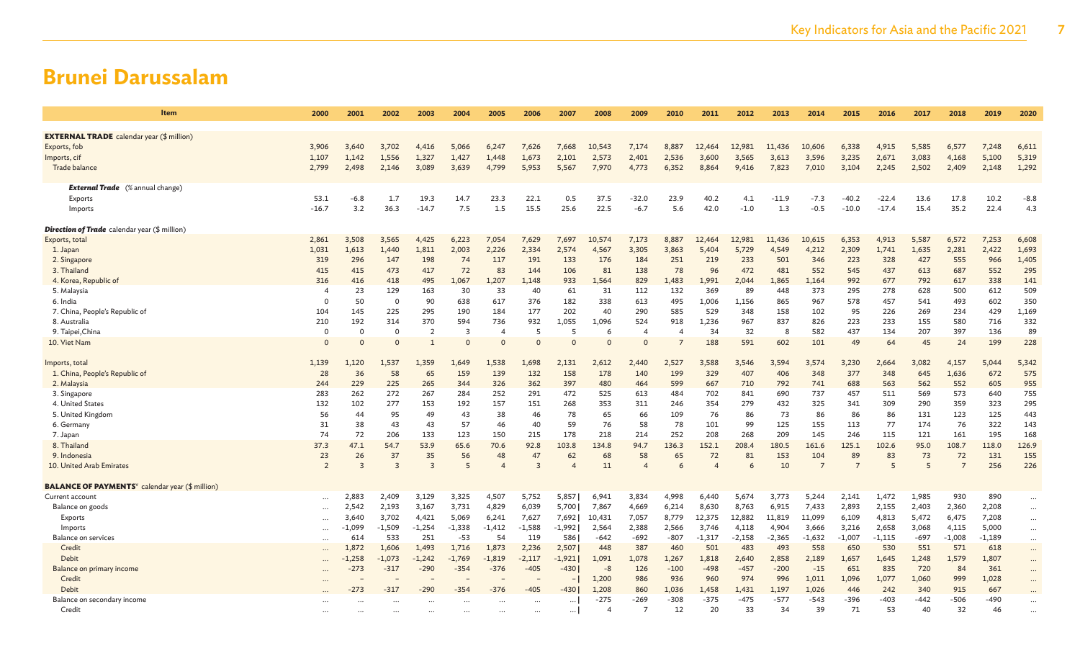| Item                                                               | 2000           | 2001           | 2002           | 2003           | 2004     | 2005                        | 2006           | 2007     | 2008           | 2009                   | 2010   | 2011           | 2012     | 2013     | 2014           | 2015           | 2016     | 2017   | 2018           | 2019     | 2020     |
|--------------------------------------------------------------------|----------------|----------------|----------------|----------------|----------|-----------------------------|----------------|----------|----------------|------------------------|--------|----------------|----------|----------|----------------|----------------|----------|--------|----------------|----------|----------|
| <b>EXTERNAL TRADE</b> calendar year (\$ million)                   |                |                |                |                |          |                             |                |          |                |                        |        |                |          |          |                |                |          |        |                |          |          |
| Exports, fob                                                       | 3,906          | 3,640          | 3,702          | 4,416          | 5,066    | 6,247                       | 7,626          | 7,668    | 10,543         | 7,174                  | 8,887  | 12,464         | 12,981   | 11,436   | 10,606         | 6,338          | 4,915    | 5,585  | 6,577          | 7,248    | 6,611    |
| Imports, cif                                                       | 1,107          | 1,142          | 1,556          | 1,327          | 1,427    | 1,448                       | 1,673          | 2,101    | 2,573          | 2,401                  | 2,536  | 3,600          | 3,565    | 3,613    | 3,596          | 3,235          | 2,671    | 3,083  | 4,168          | 5,100    | 5,319    |
| Trade balance                                                      | 2,799          | 2,498          | 2,146          | 3,089          | 3,639    | 4,799                       | 5,953          | 5,567    | 7,970          | 4,773                  | 6,352  | 8,864          | 9,416    | 7,823    | 7,010          | 3,104          | 2,245    | 2,502  | 2,409          | 2,148    | 1,292    |
|                                                                    |                |                |                |                |          |                             |                |          |                |                        |        |                |          |          |                |                |          |        |                |          |          |
| <b>External Trade</b> (% annual change)                            |                |                |                |                |          |                             |                |          |                |                        |        |                |          |          |                |                |          |        |                |          |          |
| Exports                                                            | 53.1           | $-6.8$         | 1.7            | 19.3           | 14.7     | 23.3                        | 22.1           | 0.5      | 37.5           | $-32.0$                | 23.9   | 40.2           | 4.1      | $-11.9$  | $-7.3$         | $-40.2$        | $-22.4$  | 13.6   | 17.8           | 10.2     | $-8.8$   |
| Imports                                                            | $-16.7$        | 3.2            | 36.3           | $-14.7$        | 7.5      | 1.5                         | 15.5           | 25.6     | 22.5           | $-6.7$                 | 5.6    | 42.0           | $-1.0$   | 1.3      | $-0.5$         | $-10.0$        | $-17.4$  | 15.4   | 35.2           | 22.4     | 4.3      |
| <b>Direction of Trade</b> calendar year (\$ million)               |                |                |                |                |          |                             |                |          |                |                        |        |                |          |          |                |                |          |        |                |          |          |
| Exports, total                                                     | 2,861          | 3,508          | 3,565          | 4,425          | 6,223    | 7,054                       | 7,629          | 7,697    | 10,574         | 7,173                  | 8,887  | 12,464         | 12,981   | 11,436   | 10,615         | 6,353          | 4,913    | 5,587  | 6,572          | 7,253    | 6,608    |
| 1. Japan                                                           | 1,031          | 1,613          | 1.440          | 1,811          | 2,003    | 2,226                       | 2,334          | 2,574    | 4,567          | 3,305                  | 3,863  | 5,404          | 5,729    | 4,549    | 4,212          | 2,309          | 1,741    | 1,635  | 2,281          | 2,422    | 1,693    |
| 2. Singapore                                                       | 319            | 296            | 147            | 198            | 74       | 117                         | 191            | 133      | 176            | 184                    | 251    | 219            | 233      | 501      | 346            | 223            | 328      | 427    | 555            | 966      | 1,405    |
| 3. Thailand                                                        | 415            | 415            | 473            | 417            | 72       | 83                          | 144            | 106      | 81             | 138                    | 78     | 96             | 472      | 481      | 552            | 545            | 437      | 613    | 687            | 552      | 295      |
| 4. Korea, Republic of                                              | 316            | 416            | 418            | 495            | 1,067    | 1,207                       | 1.148          | 933      | 1,564          | 829                    | 1,483  | 1,991          | 2.044    | 1.865    | 1,164          | 992            | 677      | 792    | 617            | 338      | 141      |
| 5. Malaysia                                                        | 4              | 23             | 129            | 163            | 30       | 33                          | 40             | 61       | 31             | 112                    | 132    | 369            | 89       | 448      | 373            | 295            | 278      | 628    | 500            | 612      | 509      |
| 6. India                                                           | $\Omega$       | 50             | $\mathbf 0$    | 90             | 638      | 617                         | 376            | 182      | 338            | 613                    | 495    | 1,006          | 1,156    | 865      | 967            | 578            | 457      | 541    | 493            | 602      | 350      |
| 7. China, People's Republic of                                     | 104            | 145            | 225            | 295            | 190      | 184                         | 177            | 202      | 40             | 290                    | 585    | 529            | 348      | 158      | 102            | 95             | 226      | 269    | 234            | 429      | 1,169    |
| 8. Australia                                                       | 210            | 192            | 314            | 370            | 594      | 736                         | 932            | 1,055    | 1,096          | 524                    | 918    | 1,236          | 967      | 837      | 826            | 223            | 233      | 155    | 580            | 716      | 332      |
| 9. Taipei, China                                                   | $\Omega$       | $\Omega$       | $\Omega$       | $\overline{2}$ | 3        | $\boldsymbol{\vartriangle}$ | 5              | -5       | 6              | $\boldsymbol{\Lambda}$ |        | 34             | 32       | 8        | 582            | 437            | 134      | 207    | 397            | 136      | 89       |
| 10. Viet Nam                                                       | $\Omega$       | $\Omega$       | $\Omega$       |                | $\Omega$ | $\Omega$                    | $\Omega$       |          | $\Omega$       | $\Omega$               |        | 188            | 591      | 602      | 101            | 49             | 64       | 45     | 24             | 199      | 228      |
| Imports, total                                                     | 1,139          | 1,120          | 1.537          | 1.359          | 1,649    | 1,538                       | 1.698          | 2,131    | 2,612          | 2.440                  | 2,527  | 3,588          | 3,546    | 3,594    | 3.574          | 3.230          | 2,664    | 3,082  | 4,157          | 5.044    | 5,342    |
| 1. China, People's Republic of                                     | 28             | 36             | 58             | 65             | 159      | 139                         | 132            | 158      | 178            | 140                    | 199    | 329            | 407      | 406      | 348            | 377            | 348      | 645    | 1,636          | 672      | 575      |
| 2. Malaysia                                                        | 244            | 229            | 225            | 265            | 344      | 326                         | 362            | 397      | 480            | 464                    | 599    | 667            | 710      | 792      | 741            | 688            | 563      | 562    | 552            | 605      | 955      |
| 3. Singapore                                                       | 283            | 262            | 272            | 267            | 284      | 252                         | 291            | 472      | 525            | 613                    | 484    | 702            | 841      | 690      | 737            | 457            | 511      | 569    | 573            | 640      | 755      |
| 4. United States                                                   | 132            | 102            | 277            | 153            | 192      | 157                         | 151            | 268      | 353            | 311                    | 246    | 354            | 279      | 432      | 325            | 341            | 309      | 290    | 359            | 323      | 295      |
| 5. United Kingdom                                                  | 56             | 44             | 95             | 49             | 43       | 38                          | 46             | 78       | 65             | 66                     | 109    | 76             | 86       | 73       | 86             | 86             | 86       | 131    | 123            | 125      | 443      |
| 6. Germany                                                         | 31             | 38             | 43             | 43             | 57       | 46                          | 40             | 59       | 76             | 58                     | 78     | 101            | 99       | 125      | 155            | 113            | 77       | 174    | 76             | 322      | 143      |
| 7. Japan                                                           | 74             | 72             | 206            | 133            | 123      | 150                         | 215            | 178      | 218            | 214                    | 252    | 208            | 268      | 209      | 145            | 246            | 115      | 121    | 161            | 195      | 168      |
| 8. Thailand                                                        | 37.3           | 47.1           | 54.7           | 53.9           | 65.6     | 70.6                        | 92.8           | 103.8    | 134.8          | 94.7                   | 136.3  | 152.1          | 208.4    | 180.5    | 161.6          | 125.1          | 102.6    | 95.0   | 108.7          | 118.0    | 126.9    |
| 9. Indonesia                                                       | 23             | 26             | 37             | 35             | 56       | 48                          | 47             | 62       | 68             | 58                     | 65     | 72             | 81       | 153      | 104            | 89             | 83       | 73     | 72             | 131      | 155      |
| 10. United Arab Emirates                                           | $\overline{2}$ | $\overline{3}$ | $\overline{3}$ | 3              | 5        | $\overline{4}$              | $\overline{3}$ |          | 11             | $\overline{4}$         | 6      | $\overline{4}$ | 6        | 10       | $\overline{7}$ | $\overline{7}$ | 5        | 5      | $\overline{7}$ | 256      | 226      |
| <b>BALANCE OF PAYMENTS</b> <sup>v</sup> calendar year (\$ million) |                |                |                |                |          |                             |                |          |                |                        |        |                |          |          |                |                |          |        |                |          |          |
| Current account                                                    |                | 2,883          | 2,409          | 3,129          | 3,325    | 4,507                       | 5,752          | 5,857    | 6,941          | 3,834                  | 4,998  | 6,440          | 5,674    | 3,773    | 5,244          | 2,141          | 1,472    | 1,985  | 930            | 890      | $\cdots$ |
| Balance on goods                                                   | $\cdots$       | 2,542          | 2,193          | 3,167          | 3,731    | 4,829                       | 6,039          | 5,700    | 7,867          | 4,669                  | 6,214  | 8,630          | 8,763    | 6,915    | 7,433          | 2,893          | 2,155    | 2,403  | 2,360          | 2,208    | $\cdots$ |
| Exports                                                            | $\ddots$       | 3,640          | 3,702          | 4,421          | 5,069    | 6,241                       | 7,627          | 7,692    | 10,431         | 7,057                  | 8,779  | 12,375         | 12,882   | 11,819   | 11,099         | 6,109          | 4,813    | 5,472  | 6,475          | 7,208    | $\cdots$ |
| Imports                                                            | $\ddots$       | $-1,099$       | $-1,509$       | $-1,254$       | $-1,338$ | $-1,412$                    | $-1,588$       | $-1,992$ | 2,564          | 2,388                  | 2,566  | 3,746          | 4,118    | 4,904    | 3,666          | 3,216          | 2,658    | 3,068  | 4,115          | 5,000    | $\cdots$ |
| <b>Balance on services</b>                                         |                | 614            | 533            | 251            | $-53$    | 54                          | 119            | 586      | $-642$         | $-692$                 | $-807$ | $-1,317$       | $-2,158$ | $-2,365$ | $-1,632$       | $-1,007$       | $-1,115$ | $-697$ | $-1,008$       | $-1,189$ | $\cdots$ |
| Credit                                                             |                | 1,872          | 1,606          | 1.493          | 1,716    | 1,873                       | 2,236          | 2,507    | 448            | 387                    | 460    | 501            | 483      | 493      | 558            | 650            | 530      | 551    | 571            | 618      | $\cdots$ |
| Debit                                                              |                | $-1,258$       | $-1,073$       | $-1,242$       | $-1,769$ | $-1,819$                    | $-2,117$       | $-1,921$ | 1,091          | 1,078                  | 1,267  | 1,818          | 2,640    | 2,858    | 2,189          | 1,657          | 1,645    | 1,248  | 1,579          | 1,807    | $\cdots$ |
| Balance on primary income                                          | $\cdots$       | $-273$         | $-317$         | $-290$         | $-354$   | $-376$                      | $-405$         | $-430$   | $-8$           | 126                    | $-100$ | $-498$         | $-457$   | $-200$   | $-15$          | 651            | 835      | 720    | 84             | 361      | $\cdots$ |
| Credit                                                             | $\cdots$       |                |                |                |          |                             |                |          | 1,200          | 986                    | 936    | 960            | 974      | 996      | 1,011          | 1,096          | 1,077    | 1,060  | 999            | 1,028    | $\cdots$ |
| Debit                                                              |                | $-273$         | $-317$         | $-290$         | $-354$   | $-376$                      | $-405$         | -430     | 1,208          | 860                    | 1,036  | 1,458          | 1,431    | 1,197    | 1,026          | 446            | 242      | 340    | 915            | 667      |          |
| Balance on secondary income                                        | $\cdots$       |                |                | $\ddotsc$      |          |                             | $\cdots$       |          | $-275$         | -269                   | $-308$ | $-375$         | $-475$   | $-577$   | $-543$         | -396           | $-403$   | -442   | $-506$         | -490     |          |
| Credit                                                             | $\cdots$       |                |                | $\ddotsc$      | $\cdots$ | $\cdots$                    |                | $\cdots$ | $\overline{4}$ | 7                      | 12     | 20             | 33       | 34       | 39             | 71             | 53       | 40     | 32             | 46       |          |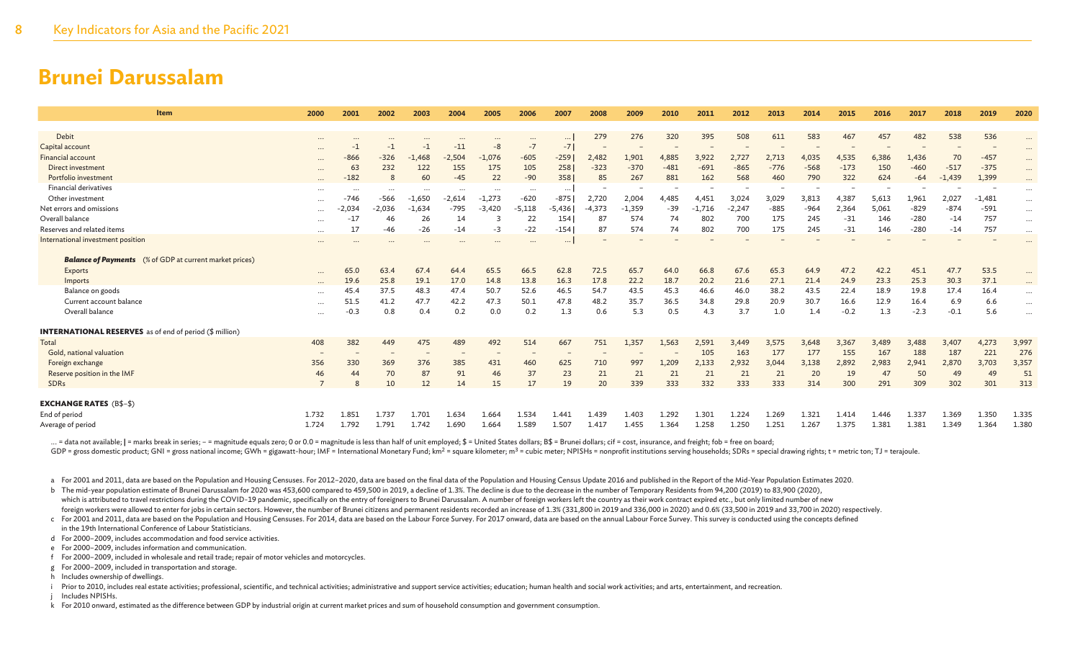| Item                                                           | 2000     | 2001     | 2002     | 2003     | 2004     | 2005     | 2006     | 2007     | 2008     | 2009     | 2010   | 2011     | 2012     | 2013   | 2014   | 2015   | 2016  | 2017   | 2018     | 2019     | 2020     |
|----------------------------------------------------------------|----------|----------|----------|----------|----------|----------|----------|----------|----------|----------|--------|----------|----------|--------|--------|--------|-------|--------|----------|----------|----------|
|                                                                |          |          |          |          |          |          |          |          |          |          |        |          |          |        |        |        |       |        |          |          |          |
| Debit                                                          | $\cdots$ | $\cdots$ |          |          | $\cdots$ | $\cdots$ | $\cdots$ | $\cdots$ | 279      | 276      | 320    | 395      | 508      | 611    | 583    | 467    | 457   | 482    | 538      | 536      | $\cdots$ |
| Capital account                                                | $\cdots$ | $-1$     | -1       | -1       | $-11$    | $-8$     | $-7$     | $-7$     |          |          |        |          |          |        |        |        |       |        |          |          | $\cdots$ |
| <b>Financial account</b>                                       | $\cdots$ | $-866$   | $-326$   | $-1,468$ | $-2,504$ | $-1,076$ | $-605$   | $-259$   | 2,482    | 1,901    | 4,885  | 3,922    | 2,727    | 2,713  | 4,035  | 4,535  | 6,386 | 1,436  | 70       | $-457$   | $\cdots$ |
| Direct investment                                              | $\cdots$ | 63       | 232      | 122      | 155      | 175      | 105      | 258      | $-323$   | $-370$   | $-481$ | $-691$   | $-865$   | $-776$ | $-568$ | $-173$ | 150   | $-460$ | $-517$   | $-375$   | $\cdots$ |
| Portfolio investment                                           |          | $-182$   | 8        | 60       | $-45$    | 22       | $-90$    | 358      | 85       | 267      | 881    | 162      | 568      | 460    | 790    | 322    | 624   | $-64$  | $-1,439$ | 1,399    | $\cdots$ |
| <b>Financial derivatives</b>                                   | $\cdots$ | .        |          | $\cdots$ | $\cdots$ | $\cdots$ | $\cdots$ | $\cdots$ |          |          |        |          |          |        |        |        |       |        |          |          | $\cdots$ |
| Other investment                                               | $\cdots$ | $-746$   | $-566$   | $-1,650$ | $-2,614$ | $-1,273$ | $-620$   | $-875$   | 2,720    | 2,004    | 4,485  | 4,451    | 3,024    | 3,029  | 3,813  | 4,387  | 5,613 | 1,961  | 2,027    | $-1,481$ | $\cdots$ |
| Net errors and omissions                                       | $\cdots$ | $-2.034$ | $-2.036$ | $-1.634$ | $-795$   | $-3.420$ | $-5,118$ | $-5,436$ | $-4.373$ | $-1,359$ | $-39$  | $-1.716$ | $-2,247$ | $-885$ | $-964$ | 2,364  | 5,061 | $-829$ | $-874$   | $-591$   | $\cdots$ |
| Overall balance                                                | $\cdots$ | $-17$    | 46       | 26       | 14       | 3        | 22       | 154      | 87       | 574      | 74     | 802      | 700      | 175    | 245    | $-31$  | 146   | $-280$ | $-14$    | 757      | $\cdots$ |
| Reserves and related items                                     | $\cdots$ | 17       | $-46$    | $-26$    | $-14$    | -3       | $-22$    | $-154$   | 87       | 574      | 74     | 802      | 700      | 175    | 245    | $-31$  | 146   | $-280$ | $-14$    | 757      | $\cdots$ |
| International investment position                              |          |          |          |          |          |          |          | $\cdots$ |          |          |        |          |          |        |        |        |       |        |          |          |          |
| <b>Balance of Payments</b> (% of GDP at current market prices) |          |          |          |          |          |          |          |          |          |          |        |          |          |        |        |        |       |        |          |          |          |
| Exports                                                        |          | 65.0     | 63.4     | 67.4     | 64.4     | 65.5     | 66.5     | 62.8     | 72.5     | 65.7     | 64.0   | 66.8     | 67.6     | 65.3   | 64.9   | 47.2   | 42.2  | 45.1   | 47.7     | 53.5     | $\cdots$ |
| Imports                                                        | $\cdots$ | 19.6     | 25.8     | 19.1     | 17.0     | 14.8     | 13.8     | 16.3     | 17.8     | 22.2     | 18.7   | 20.2     | 21.6     | 27.1   | 21.4   | 24.9   | 23.3  | 25.3   | 30.3     | 37.1     | $\cdots$ |
| Balance on goods                                               | $\cdots$ | 45.4     | 37.5     | 48.3     | 47.4     | 50.7     | 52.6     | 46.5     | 54.7     | 43.5     | 45.3   | 46.6     | 46.0     | 38.2   | 43.5   | 22.4   | 18.9  | 19.8   | 17.4     | 16.4     | $\cdots$ |
| Current account balance                                        |          | 51.5     | 41.2     | 47.7     | 42.2     | 47.3     | 50.1     | 47.8     | 48.2     | 35.7     | 36.5   | 34.8     | 29.8     | 20.9   | 30.7   | 16.6   | 12.9  | 16.4   | 6.9      | 6.6      | $\cdots$ |
| Overall balance                                                |          | $-0.3$   | 0.8      | 0.4      | 0.2      | 0.0      | 0.2      | 1.3      | 0.6      | 5.3      | 0.5    | 4.3      | 3.7      | 1.0    | 1.4    | $-0.2$ | 1.3   | $-2.3$ | $-0.1$   | 5.6      | $\cdots$ |
| <b>INTERNATIONAL RESERVES</b> as of end of period (\$ million) |          |          |          |          |          |          |          |          |          |          |        |          |          |        |        |        |       |        |          |          |          |
| Total                                                          | 408      | 382      | 449      | 475      | 489      | 492      | 514      | 667      | 751      | 1,357    | 1,563  | 2,591    | 3,449    | 3,575  | 3,648  | 3,367  | 3,489 | 3,488  | 3,407    | 4,273    | 3,997    |
| Gold, national valuation                                       |          |          |          |          |          |          |          |          |          |          |        | 105      | 163      | 177    | 177    | 155    | 167   | 188    | 187      | 221      | 276      |
| Foreign exchange                                               | 356      | 330      | 369      | 376      | 385      | 431      | 460      | 625      | 710      | 997      | 1,209  | 2,133    | 2,932    | 3,044  | 3,138  | 2,892  | 2,983 | 2,941  | 2,870    | 3,703    | 3,357    |
| Reserve position in the IMF                                    | 46       | 44       | 70       | 87       | 91       | 46       | 37       | 23       | 21       | 21       | 21     | 21       | 21       | 21     | 20     | 19     | 47    | 50     | 49       | 49       | 51       |
| <b>SDRs</b>                                                    |          |          | 10       | 12       | 14       | 15       | 17       | 19       | 20       | 339      | 333    | 332      | 333      | 333    | 314    | 300    | 291   | 309    | 302      | 301      | 313      |
|                                                                |          |          |          |          |          |          |          |          |          |          |        |          |          |        |        |        |       |        |          |          |          |
| <b>EXCHANGE RATES</b> (B\$-\$)                                 |          |          |          |          |          |          |          |          |          |          |        |          |          |        |        |        |       |        |          |          |          |
| End of period                                                  | 1.732    | 1.851    | 1.737    | 1.701    | 1.634    | 1.664    | 1.534    | 1.441    | 1.439    | 1.403    | 1.292  | 1.301    | 1.224    | 1.269  | 1.321  | 1.414  | 1.446 | 1.337  | 1.369    | 1.350    | 1.335    |
| Average of period                                              | 1.724    | 1.792    | 1.791    | 1.742    | 1.690    | 1.664    | 1.589    | 1.507    | 1.417    | 1.455    | 1.364  | 1.258    | 1.250    | 1.251  | 1.267  | 1.375  | 1.381 | 1.381  | 1.349    | 1.364    | 1.380    |

... = data not available; | = marks break in series; - = magnitude equals zero; 0 or 0.0 = magnitude is less than half of unit employed; \$ = United States dollars; B\$ = Brunei dollars; cif = cost, insurance, and freight; f

GDP = gross domestic product; GNI = gross national income; GWh = gigawatt-hour; IMF = International Monetary Fund; km<sup>2</sup> = square kilometer; m<sup>3</sup> = cubic meter; NPISHs = nonprofit institutions serving households; SDRs = sp

a For 2001 and 2011, data are based on the Population and Housing Censuses. For 2012-2020, data are based on the final data of the Population and Housing Census Update 2016 and published in the Report of the Mid-Year Popul

b The mid-year population estimate of Brunei Darussalam for 2020 was 453,600 compared to 459,500 in 2019, a decline of 1.3%. The decline is due to the decrease in the number of Temporary Residents from 94,200 (2019) to 83, which is attributed to travel restrictions during the COVID-19 pandemic, specifically on the entry of foreigners to Brunei Darussalam. A number of foreign workers left the country as their work contract expired etc., but o foreign workers were allowed to enter for jobs in certain sectors. However, the number of Brunei citizens and permanent residents recorded an increase of 1.3% (331,800 in 2019 and 336,000 in 2020) and 0.6% (33,500 in 2019

c For 2001 and 2011, data are based on the Population and Housing Censuses. For 2014, data are based on the Labour Force Survey. For 2017 onward, data are based on the annual Labour Force Survey. This survey is conducted u in the 19th International Conference of Labour Statisticians.

d For 2000–2009, includes accommodation and food service activities.

e For 2000–2009, includes information and communication.

f For 2000–2009, included in wholesale and retail trade; repair of motor vehicles and motorcycles.

g For 2000–2009, included in transportation and storage.

h Includes ownership of dwellings.

i Prior to 2010, includes real estate activities; professional, scientific, and technical activities; administrative and support service activities; education; human health and social work activities; and arts, entertainme

Includes NPISHs.

k For 2010 onward, estimated as the difference between GDP by industrial origin at current market prices and sum of household consumption and government consumption.